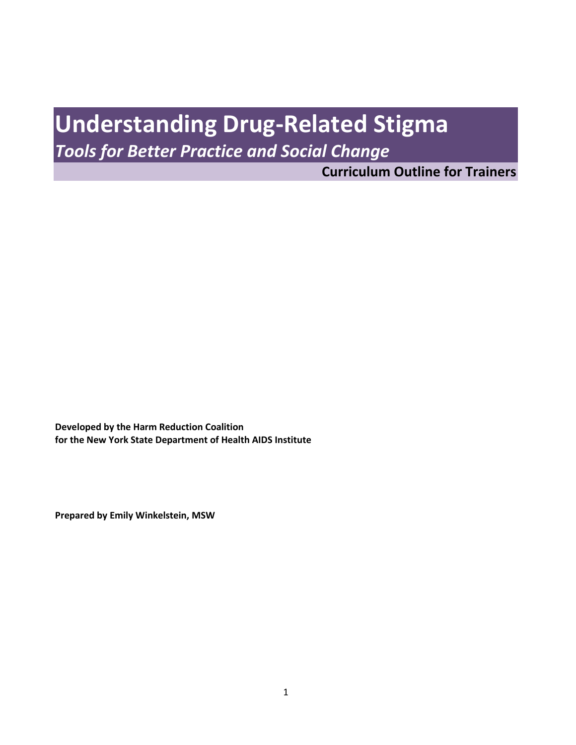# **Understanding Drug-Related Stigma**

*Tools for Better Practice and Social Change*

**Curriculum Outline for Trainers**

**Developed by the Harm Reduction Coalition for the New York State Department of Health AIDS Institute**

**Prepared by Emily Winkelstein, MSW**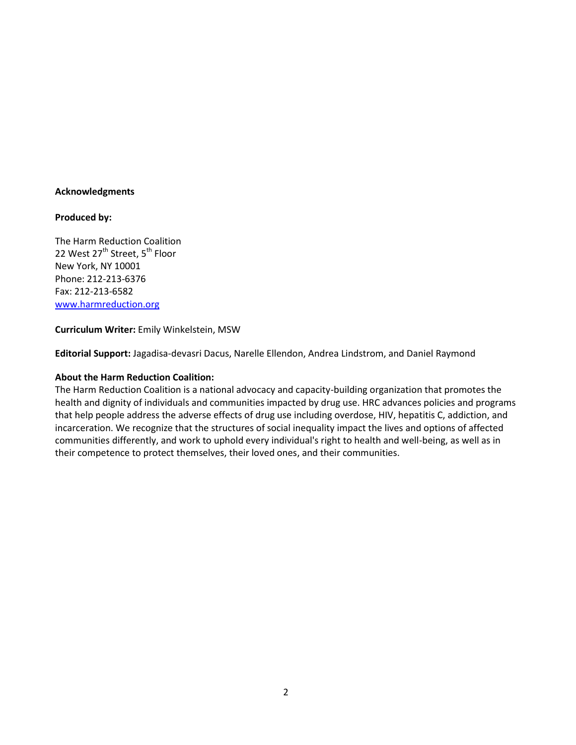#### **Acknowledgments**

#### **Produced by:**

The Harm Reduction Coalition 22 West 27<sup>th</sup> Street, 5<sup>th</sup> Floor New York, NY 10001 Phone: 212-213-6376 Fax: 212-213-6582 [www.harmreduction.org](http://www.harmreduction.org/)

#### **Curriculum Writer:** Emily Winkelstein, MSW

**Editorial Support:** Jagadisa-devasri Dacus, Narelle Ellendon, Andrea Lindstrom, and Daniel Raymond

#### **About the Harm Reduction Coalition:**

The Harm Reduction Coalition is a national advocacy and capacity-building organization that promotes the health and dignity of individuals and communities impacted by drug use. HRC advances policies and programs that help people address the adverse effects of drug use including overdose, HIV, hepatitis C, addiction, and incarceration. We recognize that the structures of social inequality impact the lives and options of affected communities differently, and work to uphold every individual's right to health and well-being, as well as in their competence to protect themselves, their loved ones, and their communities.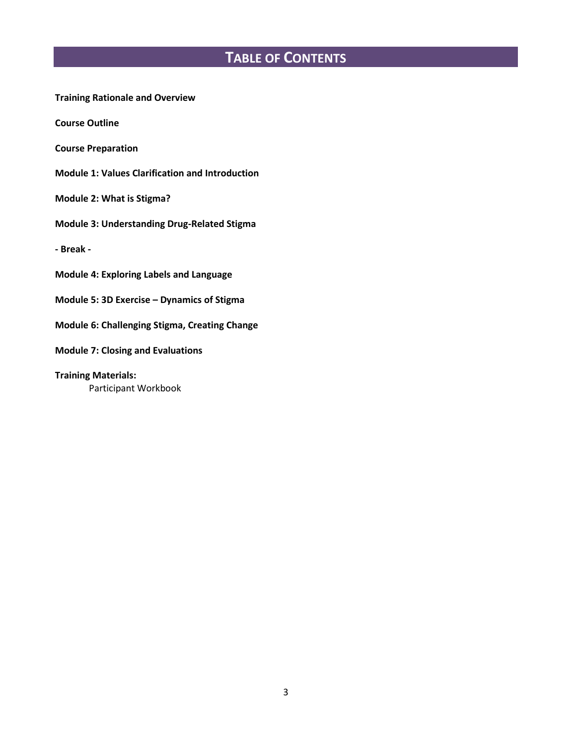## **TABLE OF CONTENTS**

**Training Rationale and Overview**

**Course Outline**

**Course Preparation**

**Module 1: Values Clarification and Introduction**

**Module 2: What is Stigma?**

**Module 3: Understanding Drug-Related Stigma**

**- Break -**

**Module 4: Exploring Labels and Language**

**Module 5: 3D Exercise – Dynamics of Stigma**

**Module 6: Challenging Stigma, Creating Change**

**Module 7: Closing and Evaluations** 

**Training Materials:** Participant Workbook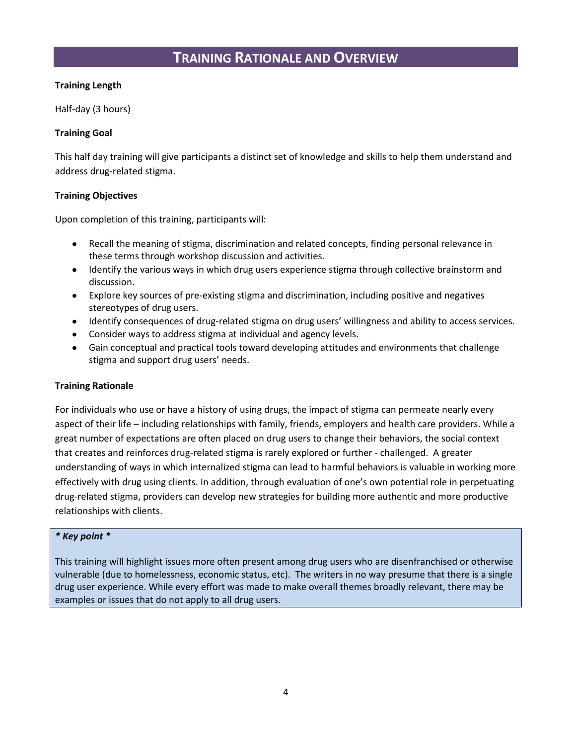## **TRAINING RATIONALE AND OVERVIEW**

#### **Training Length**

Half-day (3 hours)

#### **Training Goal**

This half day training will give participants a distinct set of knowledge and skills to help them understand and address drug-related stigma.

#### **Training Objectives**

Upon completion of this training, participants will:

- Recall the meaning of stigma, discrimination and related concepts, finding personal relevance in these terms through workshop discussion and activities.
- Identify the various ways in which drug users experience stigma through collective brainstorm and discussion.
- Explore key sources of pre-existing stigma and discrimination, including positive and negatives  $\bullet$  . stereotypes of drug users.
- Identify consequences of drug-related stigma on drug users' willingness and ability to access services.
- Consider ways to address stigma at individual and agency levels.  $\bullet$
- Gain conceptual and practical tools toward developing attitudes and environments that challenge  $\bullet$ stigma and support drug users' needs.

### **Training Rationale**

For individuals who use or have a history of using drugs, the impact of stigma can permeate nearly every aspect of their life – including relationships with family, friends, employers and health care providers. While a great number of expectations are often placed on drug users to change their behaviors, the social context that creates and reinforces drug-related stigma is rarely explored or further - challenged. A greater understanding of ways in which internalized stigma can lead to harmful behaviors is valuable in working more effectively with drug using clients. In addition, through evaluation of one's own potential role in perpetuating drug-related stigma, providers can develop new strategies for building more authentic and more productive relationships with clients.

#### *\* Key point \**

This training will highlight issues more often present among drug users who are disenfranchised or otherwise vulnerable (due to homelessness, economic status, etc). The writers in no way presume that there is a single drug user experience. While every effort was made to make overall themes broadly relevant, there may be examples or issues that do not apply to all drug users.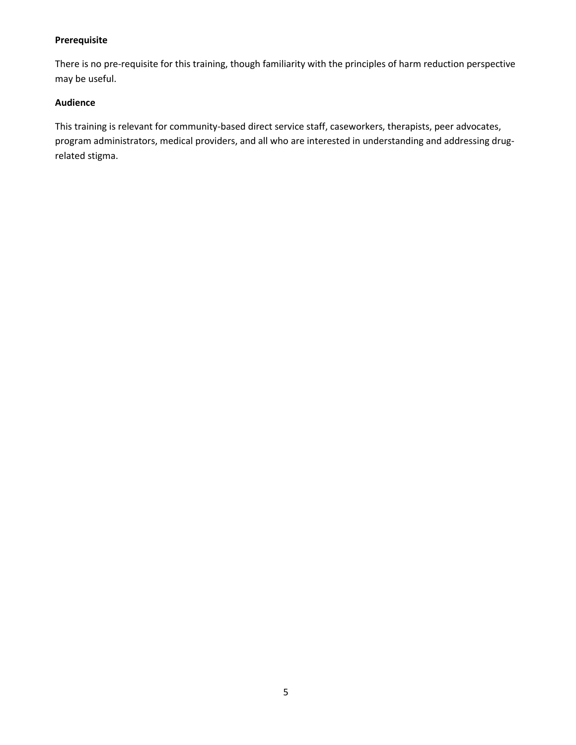#### **Prerequisite**

There is no pre-requisite for this training, though familiarity with the principles of harm reduction perspective may be useful.

#### **Audience**

This training is relevant for community-based direct service staff, caseworkers, therapists, peer advocates, program administrators, medical providers, and all who are interested in understanding and addressing drugrelated stigma.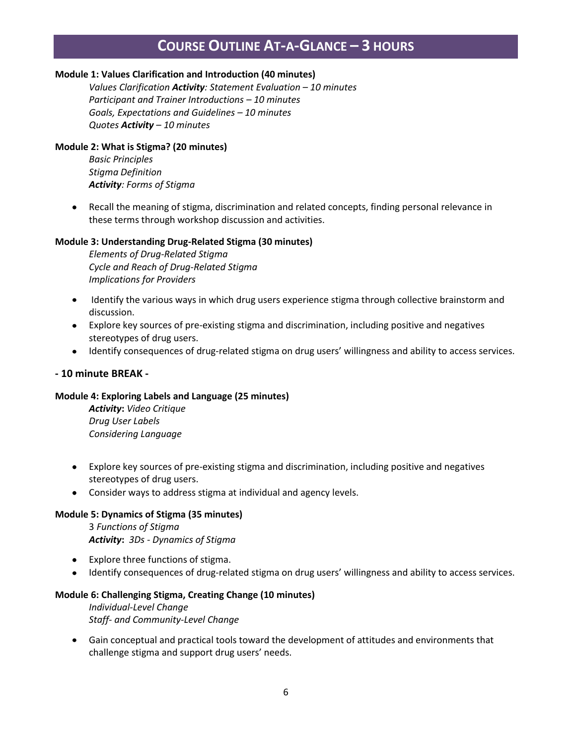## **COURSE OUTLINE AT-A-GLANCE – 3 HOURS**

#### **Module 1: Values Clarification and Introduction (40 minutes)**

*Values Clarification Activity: Statement Evaluation – 10 minutes Participant and Trainer Introductions – 10 minutes Goals, Expectations and Guidelines – 10 minutes Quotes Activity – 10 minutes*

#### **Module 2: What is Stigma? (20 minutes)**

*Basic Principles Stigma Definition Activity: Forms of Stigma*

Recall the meaning of stigma, discrimination and related concepts, finding personal relevance in these terms through workshop discussion and activities.

#### **Module 3: Understanding Drug-Related Stigma (30 minutes)**

*Elements of Drug-Related Stigma Cycle and Reach of Drug-Related Stigma Implications for Providers*

- Identify the various ways in which drug users experience stigma through collective brainstorm and discussion.
- Explore key sources of pre-existing stigma and discrimination, including positive and negatives stereotypes of drug users.
- $\bullet$ Identify consequences of drug-related stigma on drug users' willingness and ability to access services.

#### **- 10 minute BREAK -**

#### **Module 4: Exploring Labels and Language (25 minutes)**

*Activity***:** *Video Critique Drug User Labels Considering Language*

- Explore key sources of pre-existing stigma and discrimination, including positive and negatives stereotypes of drug users.
- Consider ways to address stigma at individual and agency levels.

#### **Module 5: Dynamics of Stigma (35 minutes)**

3 *Functions of Stigma Activity***:** *3Ds - Dynamics of Stigma*

- Explore three functions of stigma.
- Identify consequences of drug-related stigma on drug users' willingness and ability to access services.

#### **Module 6: Challenging Stigma, Creating Change (10 minutes)**

*Individual-Level Change Staff- and Community-Level Change*

Gain conceptual and practical tools toward the development of attitudes and environments that challenge stigma and support drug users' needs.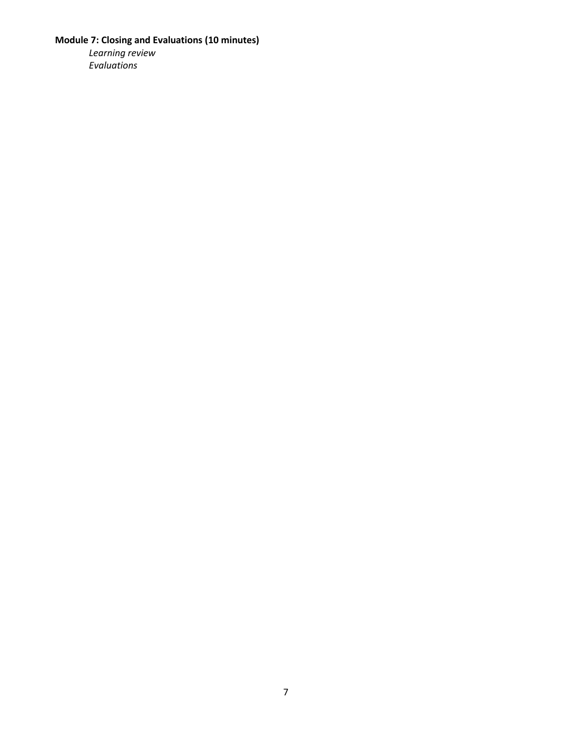### **Module 7: Closing and Evaluations (10 minutes)**

*Learning review Evaluations*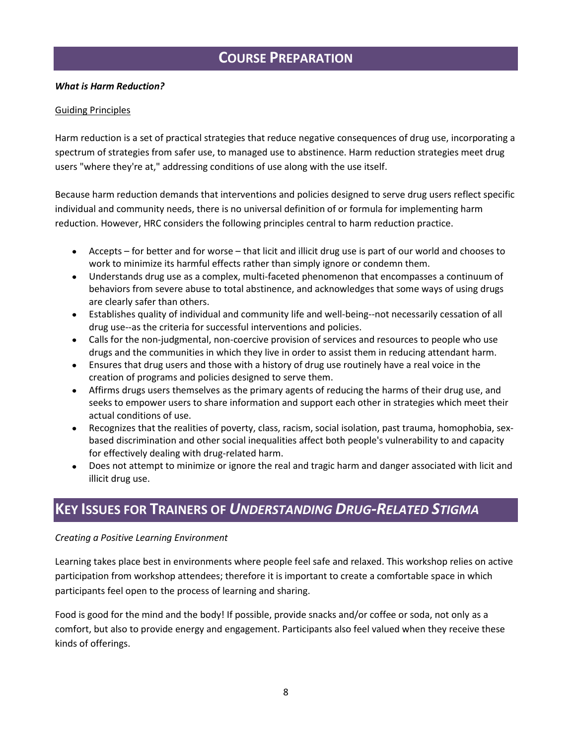## **COURSE PREPARATION**

#### *What is Harm Reduction?*

#### Guiding Principles

Harm reduction is a set of practical strategies that reduce negative consequences of drug use, incorporating a spectrum of strategies from safer use, to managed use to abstinence. Harm reduction strategies meet drug users "where they're at," addressing conditions of use along with the use itself.

Because harm reduction demands that interventions and policies designed to serve drug users reflect specific individual and community needs, there is no universal definition of or formula for implementing harm reduction. However, HRC considers the following principles central to harm reduction practice.

- Accepts for better and for worse that licit and illicit drug use is part of our world and chooses to work to minimize its harmful effects rather than simply ignore or condemn them.
- Understands drug use as a complex, multi-faceted phenomenon that encompasses a continuum of behaviors from severe abuse to total abstinence, and acknowledges that some ways of using drugs are clearly safer than others.
- Establishes quality of individual and community life and well-being--not necessarily cessation of all  $\bullet$ drug use--as the criteria for successful interventions and policies.
- Calls for the non-judgmental, non-coercive provision of services and resources to people who use drugs and the communities in which they live in order to assist them in reducing attendant harm.
- $\bullet$ Ensures that drug users and those with a history of drug use routinely have a real voice in the creation of programs and policies designed to serve them.
- Affirms drugs users themselves as the primary agents of reducing the harms of their drug use, and seeks to empower users to share information and support each other in strategies which meet their actual conditions of use.
- Recognizes that the realities of poverty, class, racism, social isolation, past trauma, homophobia, sex- $\bullet$ based discrimination and other social inequalities affect both people's vulnerability to and capacity for effectively dealing with drug-related harm.
- Does not attempt to minimize or ignore the real and tragic harm and danger associated with licit and illicit drug use.

## **KEY ISSUES FOR TRAINERS OF** *UNDERSTANDING DRUG-RELATED STIGMA*

#### *Creating a Positive Learning Environment*

Learning takes place best in environments where people feel safe and relaxed. This workshop relies on active participation from workshop attendees; therefore it is important to create a comfortable space in which participants feel open to the process of learning and sharing.

Food is good for the mind and the body! If possible, provide snacks and/or coffee or soda, not only as a comfort, but also to provide energy and engagement. Participants also feel valued when they receive these kinds of offerings.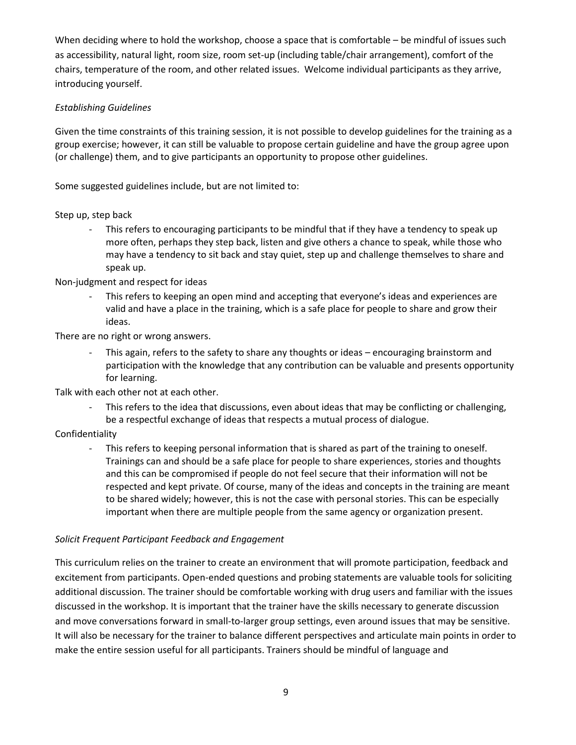When deciding where to hold the workshop, choose a space that is comfortable – be mindful of issues such as accessibility, natural light, room size, room set-up (including table/chair arrangement), comfort of the chairs, temperature of the room, and other related issues. Welcome individual participants as they arrive, introducing yourself.

#### *Establishing Guidelines*

Given the time constraints of this training session, it is not possible to develop guidelines for the training as a group exercise; however, it can still be valuable to propose certain guideline and have the group agree upon (or challenge) them, and to give participants an opportunity to propose other guidelines.

Some suggested guidelines include, but are not limited to:

Step up, step back

This refers to encouraging participants to be mindful that if they have a tendency to speak up more often, perhaps they step back, listen and give others a chance to speak, while those who may have a tendency to sit back and stay quiet, step up and challenge themselves to share and speak up.

Non-judgment and respect for ideas

This refers to keeping an open mind and accepting that everyone's ideas and experiences are valid and have a place in the training, which is a safe place for people to share and grow their ideas.

There are no right or wrong answers.

This again, refers to the safety to share any thoughts or ideas – encouraging brainstorm and participation with the knowledge that any contribution can be valuable and presents opportunity for learning.

Talk with each other not at each other.

This refers to the idea that discussions, even about ideas that may be conflicting or challenging, be a respectful exchange of ideas that respects a mutual process of dialogue.

### Confidentiality

- This refers to keeping personal information that is shared as part of the training to oneself. Trainings can and should be a safe place for people to share experiences, stories and thoughts and this can be compromised if people do not feel secure that their information will not be respected and kept private. Of course, many of the ideas and concepts in the training are meant to be shared widely; however, this is not the case with personal stories. This can be especially important when there are multiple people from the same agency or organization present.

### *Solicit Frequent Participant Feedback and Engagement*

This curriculum relies on the trainer to create an environment that will promote participation, feedback and excitement from participants. Open-ended questions and probing statements are valuable tools for soliciting additional discussion. The trainer should be comfortable working with drug users and familiar with the issues discussed in the workshop. It is important that the trainer have the skills necessary to generate discussion and move conversations forward in small-to-larger group settings, even around issues that may be sensitive. It will also be necessary for the trainer to balance different perspectives and articulate main points in order to make the entire session useful for all participants. Trainers should be mindful of language and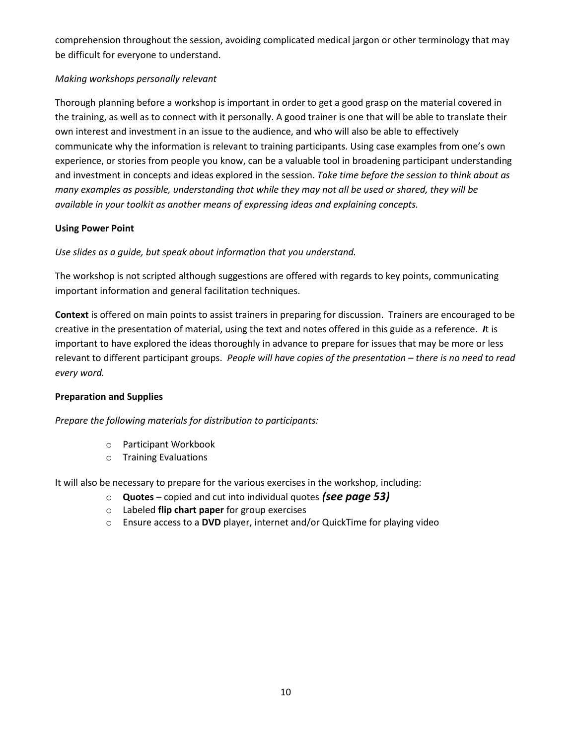comprehension throughout the session, avoiding complicated medical jargon or other terminology that may be difficult for everyone to understand.

### *Making workshops personally relevant*

Thorough planning before a workshop is important in order to get a good grasp on the material covered in the training, as well as to connect with it personally. A good trainer is one that will be able to translate their own interest and investment in an issue to the audience, and who will also be able to effectively communicate why the information is relevant to training participants. Using case examples from one's own experience, or stories from people you know, can be a valuable tool in broadening participant understanding and investment in concepts and ideas explored in the session. *Take time before the session to think about as many examples as possible, understanding that while they may not all be used or shared, they will be available in your toolkit as another means of expressing ideas and explaining concepts.* 

### **Using Power Point**

*Use slides as a guide, but speak about information that you understand.*

The workshop is not scripted although suggestions are offered with regards to key points, communicating important information and general facilitation techniques.

**Context** is offered on main points to assist trainers in preparing for discussion. Trainers are encouraged to be creative in the presentation of material, using the text and notes offered in this guide as a reference. *I*t is important to have explored the ideas thoroughly in advance to prepare for issues that may be more or less relevant to different participant groups. *People will have copies of the presentation – there is no need to read every word.*

### **Preparation and Supplies**

*Prepare the following materials for distribution to participants:*

- o Participant Workbook
- o Training Evaluations

It will also be necessary to prepare for the various exercises in the workshop, including:

- o **Quotes** copied and cut into individual quotes *(see page 53)*
- o Labeled **flip chart paper** for group exercises
- o Ensure access to a **DVD** player, internet and/or QuickTime for playing video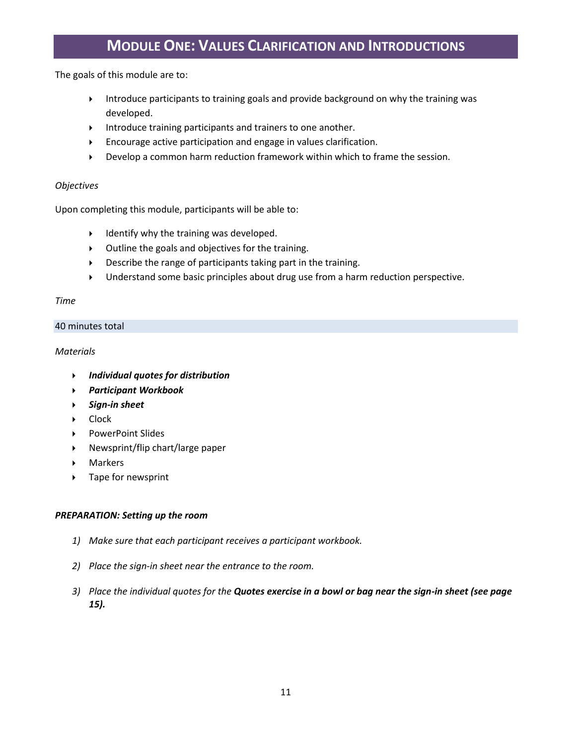## **MODULE ONE: VALUES CLARIFICATION AND INTRODUCTIONS**

The goals of this module are to:

- Introduce participants to training goals and provide background on why the training was developed.
- $\triangleright$  Introduce training participants and trainers to one another.
- Encourage active participation and engage in values clarification.
- Develop a common harm reduction framework within which to frame the session.

#### *Objectives*

Upon completing this module, participants will be able to:

- $\triangleright$  Identify why the training was developed.
- Outline the goals and objectives for the training.
- Describe the range of participants taking part in the training.
- Understand some basic principles about drug use from a harm reduction perspective.

#### *Time*

#### 40 minutes total

#### *Materials*

- *Individual quotes for distribution*
- *Participant Workbook*
- *Sign-in sheet*
- ▶ Clock
- ▶ PowerPoint Slides
- Newsprint/flip chart/large paper
- Markers
- ▶ Tape for newsprint

#### *PREPARATION: Setting up the room*

- *1) Make sure that each participant receives a participant workbook.*
- *2) Place the sign-in sheet near the entrance to the room.*
- *3) Place the individual quotes for the Quotes exercise in a bowl or bag near the sign-in sheet (see page 15).*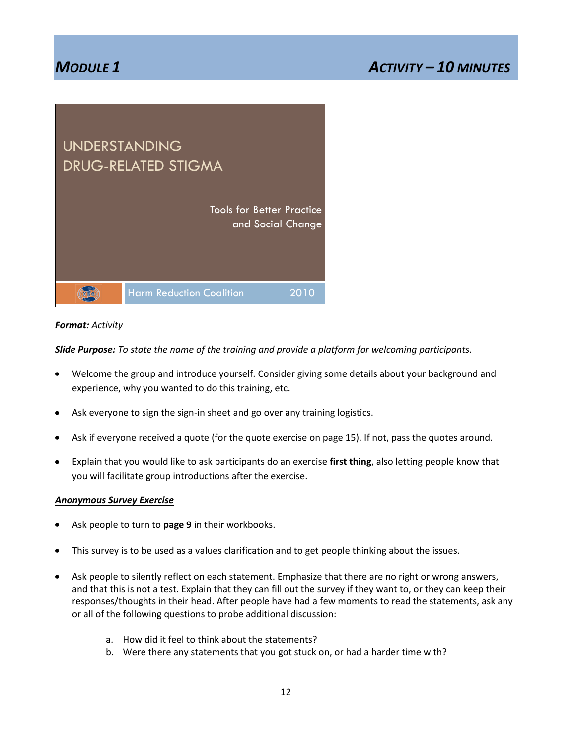## *MODULE 1 ACTIVITY – 10 MINUTES*



#### *Format: Activity*

*Slide Purpose: To state the name of the training and provide a platform for welcoming participants.*

- Welcome the group and introduce yourself. Consider giving some details about your background and experience, why you wanted to do this training, etc.
- Ask everyone to sign the sign-in sheet and go over any training logistics.
- Ask if everyone received a quote (for the quote exercise on page 15). If not, pass the quotes around.
- Explain that you would like to ask participants do an exercise **first thing**, also letting people know that you will facilitate group introductions after the exercise.

#### *Anonymous Survey Exercise*

- Ask people to turn to **page 9** in their workbooks.  $\bullet$
- This survey is to be used as a values clarification and to get people thinking about the issues.
- Ask people to silently reflect on each statement. Emphasize that there are no right or wrong answers, and that this is not a test. Explain that they can fill out the survey if they want to, or they can keep their responses/thoughts in their head. After people have had a few moments to read the statements, ask any or all of the following questions to probe additional discussion:
	- a. How did it feel to think about the statements?
	- b. Were there any statements that you got stuck on, or had a harder time with?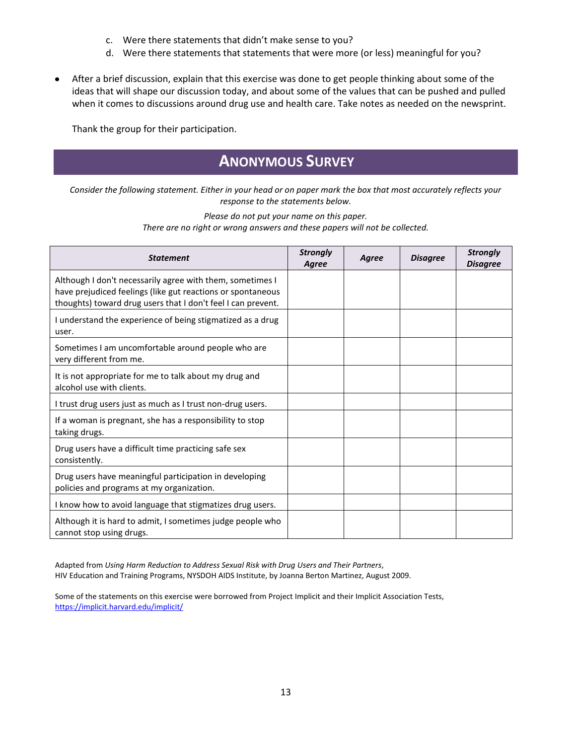- c. Were there statements that didn't make sense to you?
- d. Were there statements that statements that were more (or less) meaningful for you?
- After a brief discussion, explain that this exercise was done to get people thinking about some of the  $\bullet$ ideas that will shape our discussion today, and about some of the values that can be pushed and pulled when it comes to discussions around drug use and health care. Take notes as needed on the newsprint.

Thank the group for their participation.

## **ANONYMOUS SURVEY**

*Consider the following statement. Either in your head or on paper mark the box that most accurately reflects your response to the statements below.* 

#### *Please do not put your name on this paper. There are no right or wrong answers and these papers will not be collected.*

| <b>Statement</b>                                                                                                                                                                         | <b>Strongly</b><br>Agree | Agree | <b>Disagree</b> | <b>Strongly</b><br><b>Disagree</b> |
|------------------------------------------------------------------------------------------------------------------------------------------------------------------------------------------|--------------------------|-------|-----------------|------------------------------------|
| Although I don't necessarily agree with them, sometimes I<br>have prejudiced feelings (like gut reactions or spontaneous<br>thoughts) toward drug users that I don't feel I can prevent. |                          |       |                 |                                    |
| I understand the experience of being stigmatized as a drug<br>user.                                                                                                                      |                          |       |                 |                                    |
| Sometimes I am uncomfortable around people who are<br>very different from me.                                                                                                            |                          |       |                 |                                    |
| It is not appropriate for me to talk about my drug and<br>alcohol use with clients.                                                                                                      |                          |       |                 |                                    |
| I trust drug users just as much as I trust non-drug users.                                                                                                                               |                          |       |                 |                                    |
| If a woman is pregnant, she has a responsibility to stop<br>taking drugs.                                                                                                                |                          |       |                 |                                    |
| Drug users have a difficult time practicing safe sex<br>consistently.                                                                                                                    |                          |       |                 |                                    |
| Drug users have meaningful participation in developing<br>policies and programs at my organization.                                                                                      |                          |       |                 |                                    |
| I know how to avoid language that stigmatizes drug users.                                                                                                                                |                          |       |                 |                                    |
| Although it is hard to admit, I sometimes judge people who<br>cannot stop using drugs.                                                                                                   |                          |       |                 |                                    |

Adapted from *Using Harm Reduction to Address Sexual Risk with Drug Users and Their Partners*, HIV Education and Training Programs, NYSDOH AIDS Institute, by Joanna Berton Martinez, August 2009.

Some of the statements on this exercise were borrowed from Project Implicit and their Implicit Association Tests, <https://implicit.harvard.edu/implicit/>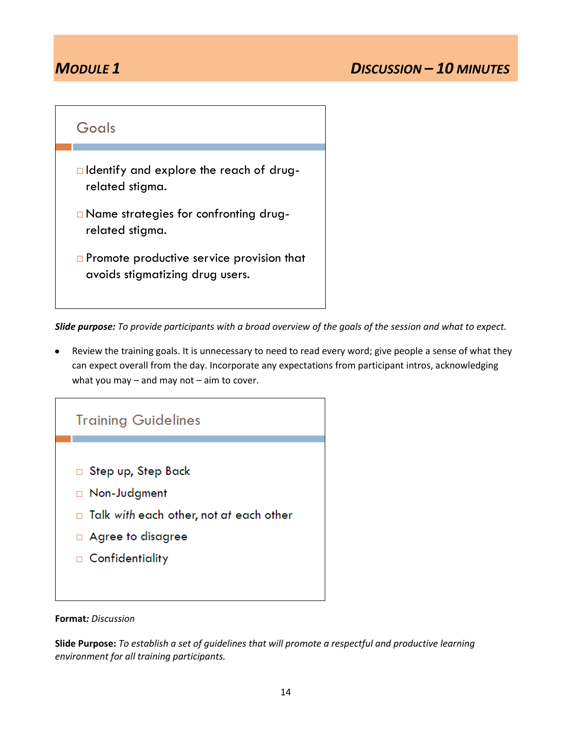

*Slide purpose: To provide participants with a broad overview of the goals of the session and what to expect.*

Review the training goals. It is unnecessary to need to read every word; give people a sense of what they can expect overall from the day. Incorporate any expectations from participant intros, acknowledging what you may  $-$  and may not  $-$  aim to cover.



#### **Format***: Discussion*

**Slide Purpose:** *To establish a set of guidelines that will promote a respectful and productive learning environment for all training participants.*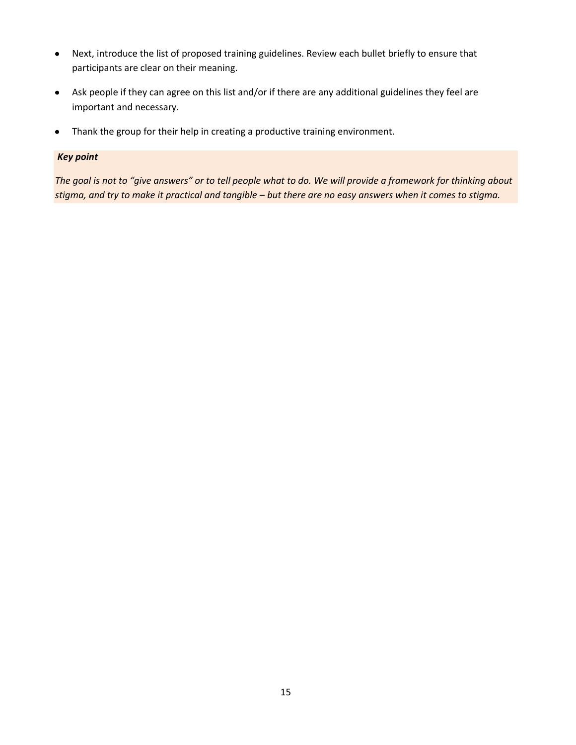- Next, introduce the list of proposed training guidelines. Review each bullet briefly to ensure that participants are clear on their meaning.
- Ask people if they can agree on this list and/or if there are any additional guidelines they feel are important and necessary.
- Thank the group for their help in creating a productive training environment.

#### *Key point*

*The goal is not to "give answers" or to tell people what to do. We will provide a framework for thinking about stigma, and try to make it practical and tangible – but there are no easy answers when it comes to stigma.*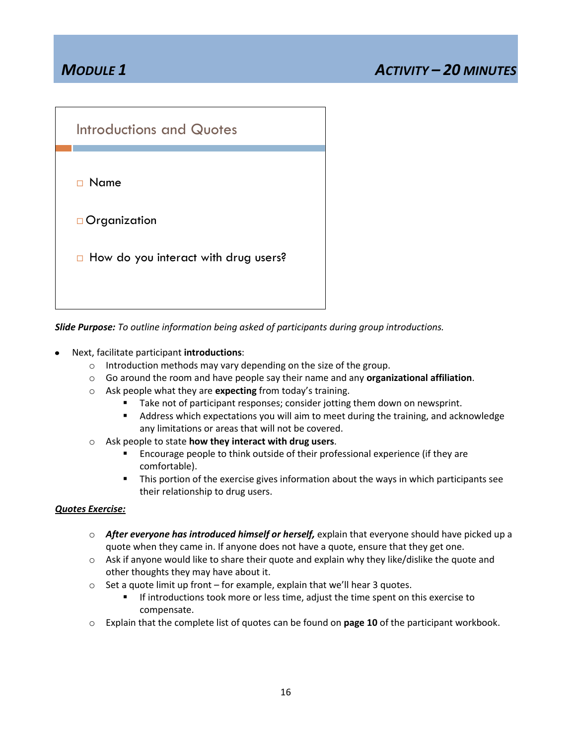

*Slide Purpose: To outline information being asked of participants during group introductions.*

- Next, facilitate participant **introductions**:
	- o Introduction methods may vary depending on the size of the group.
	- o Go around the room and have people say their name and any **organizational affiliation**.
	- o Ask people what they are **expecting** from today's training.
		- Take not of participant responses; consider jotting them down on newsprint.
		- Address which expectations you will aim to meet during the training, and acknowledge any limitations or areas that will not be covered.
	- o Ask people to state **how they interact with drug users**.
		- Encourage people to think outside of their professional experience (if they are comfortable).
		- This portion of the exercise gives information about the ways in which participants see their relationship to drug users.

### *Quotes Exercise:*

- o *After everyone has introduced himself or herself,* explain that everyone should have picked up a quote when they came in. If anyone does not have a quote, ensure that they get one.
- $\circ$  Ask if anyone would like to share their quote and explain why they like/dislike the quote and other thoughts they may have about it.
- o Set a quote limit up front for example, explain that we'll hear 3 quotes.
	- **IF introductions took more or less time, adjust the time spent on this exercise to** compensate.
- o Explain that the complete list of quotes can be found on **page 10** of the participant workbook.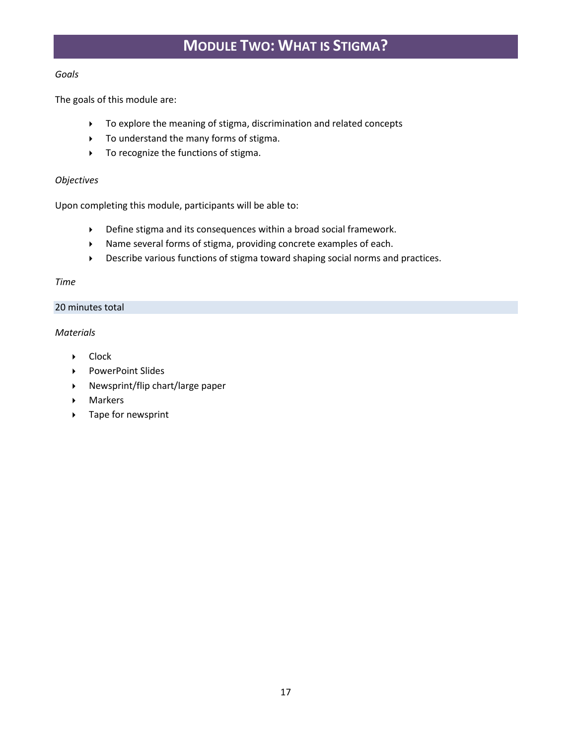## **MODULE TWO: WHAT IS STIGMA?**

#### *Goals*

The goals of this module are:

- To explore the meaning of stigma, discrimination and related concepts
- To understand the many forms of stigma.
- $\triangleright$  To recognize the functions of stigma.

#### *Objectives*

Upon completing this module, participants will be able to:

- Define stigma and its consequences within a broad social framework.
- Name several forms of stigma, providing concrete examples of each.
- Describe various functions of stigma toward shaping social norms and practices.

#### *Time*

#### 20 minutes total

#### *Materials*

- ▶ Clock
- ▶ PowerPoint Slides
- Newsprint/flip chart/large paper
- Markers
- ▶ Tape for newsprint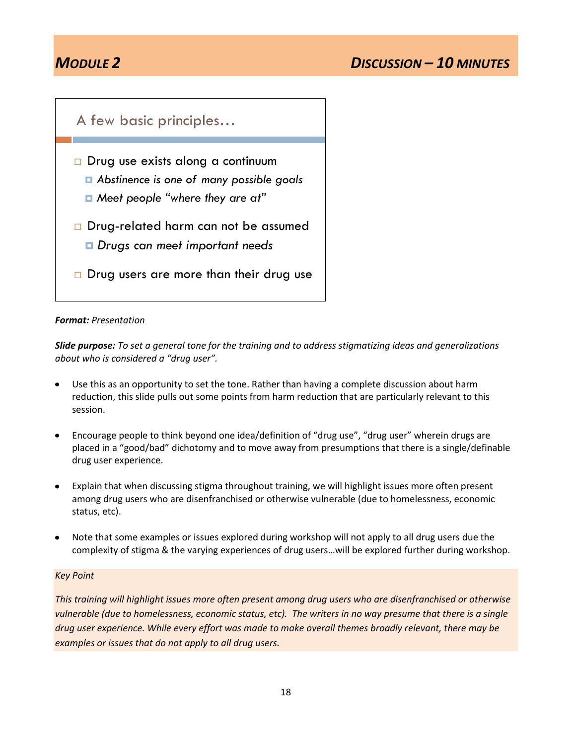

#### *Format: Presentation*

*Slide purpose: To set a general tone for the training and to address stigmatizing ideas and generalizations about who is considered a "drug user".*

- Use this as an opportunity to set the tone. Rather than having a complete discussion about harm reduction, this slide pulls out some points from harm reduction that are particularly relevant to this session.
- Encourage people to think beyond one idea/definition of "drug use", "drug user" wherein drugs are  $\bullet$ placed in a "good/bad" dichotomy and to move away from presumptions that there is a single/definable drug user experience.
- Explain that when discussing stigma throughout training, we will highlight issues more often present among drug users who are disenfranchised or otherwise vulnerable (due to homelessness, economic status, etc).
- Note that some examples or issues explored during workshop will not apply to all drug users due the complexity of stigma & the varying experiences of drug users…will be explored further during workshop.

#### *Key Point*

*This training will highlight issues more often present among drug users who are disenfranchised or otherwise vulnerable (due to homelessness, economic status, etc). The writers in no way presume that there is a single drug user experience. While every effort was made to make overall themes broadly relevant, there may be examples or issues that do not apply to all drug users.*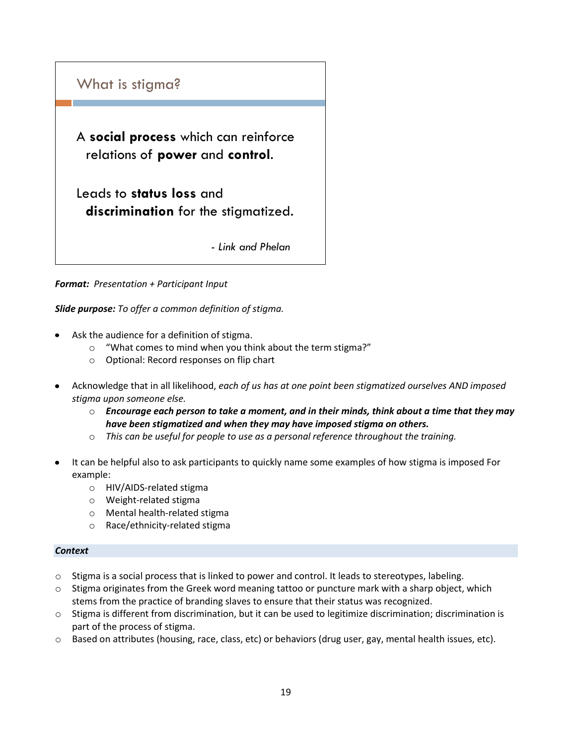

*Format: Presentation + Participant Input*

*Slide purpose: To offer a common definition of stigma.*

- Ask the audience for a definition of stigma.
	- o "What comes to mind when you think about the term stigma?"
	- o Optional: Record responses on flip chart
- Acknowledge that in all likelihood, *each of us has at one point been stigmatized ourselves AND imposed stigma upon someone else.*
	- o *Encourage each person to take a moment, and in their minds, think about a time that they may have been stigmatized and when they may have imposed stigma on others.*
	- o *This can be useful for people to use as a personal reference throughout the training.*
- It can be helpful also to ask participants to quickly name some examples of how stigma is imposed For example:
	- o HIV/AIDS-related stigma
	- o Weight-related stigma
	- o Mental health-related stigma
	- o Race/ethnicity-related stigma

#### *Context*

- o Stigma is a social process that is linked to power and control. It leads to stereotypes, labeling.
- $\circ$  Stigma originates from the Greek word meaning tattoo or puncture mark with a sharp object, which stems from the practice of branding slaves to ensure that their status was recognized.
- o Stigma is different from discrimination, but it can be used to legitimize discrimination; discrimination is part of the process of stigma.
- o Based on attributes (housing, race, class, etc) or behaviors (drug user, gay, mental health issues, etc).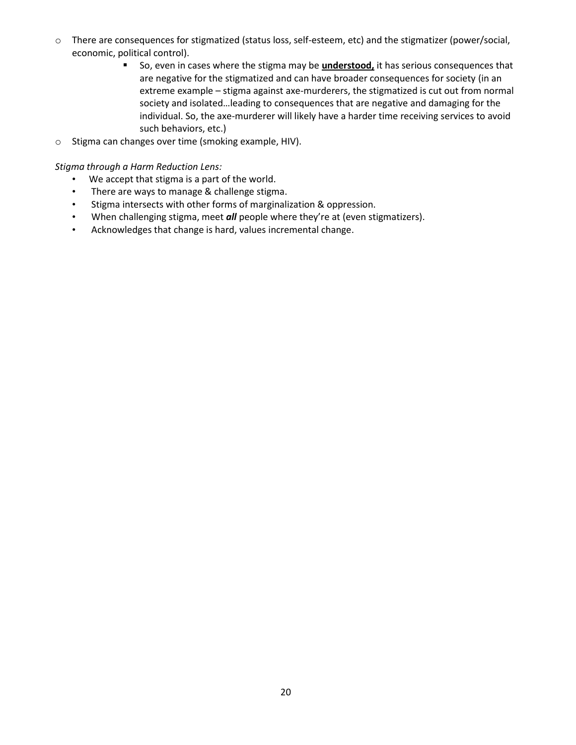- o There are consequences for stigmatized (status loss, self-esteem, etc) and the stigmatizer (power/social, economic, political control).
	- So, even in cases where the stigma may be **understood,** it has serious consequences that are negative for the stigmatized and can have broader consequences for society (in an extreme example – stigma against axe-murderers, the stigmatized is cut out from normal society and isolated…leading to consequences that are negative and damaging for the individual. So, the axe-murderer will likely have a harder time receiving services to avoid such behaviors, etc.)
- o Stigma can changes over time (smoking example, HIV).

*Stigma through a Harm Reduction Lens:*

- We accept that stigma is a part of the world.
- There are ways to manage & challenge stigma.
- Stigma intersects with other forms of marginalization & oppression.
- When challenging stigma, meet *all* people where they're at (even stigmatizers).
- Acknowledges that change is hard, values incremental change.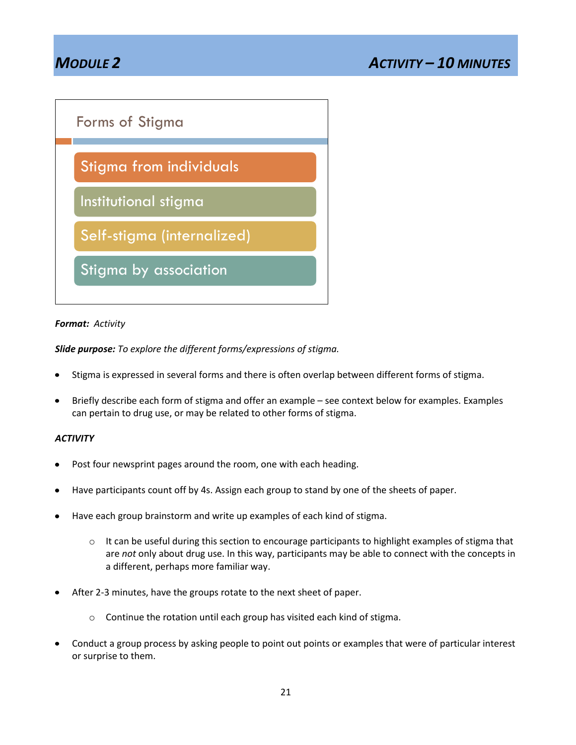## *MODULE 2 ACTIVITY – 10 MINUTES*



#### *Format: Activity*

*Slide purpose: To explore the different forms/expressions of stigma.*

- Stigma is expressed in several forms and there is often overlap between different forms of stigma.
- Briefly describe each form of stigma and offer an example see context below for examples. Examples  $\bullet$ can pertain to drug use, or may be related to other forms of stigma.

#### *ACTIVITY*

- Post four newsprint pages around the room, one with each heading.
- Have participants count off by 4s. Assign each group to stand by one of the sheets of paper.
- Have each group brainstorm and write up examples of each kind of stigma.
	- $\circ$  It can be useful during this section to encourage participants to highlight examples of stigma that are *not* only about drug use. In this way, participants may be able to connect with the concepts in a different, perhaps more familiar way.
- After 2-3 minutes, have the groups rotate to the next sheet of paper.
	- o Continue the rotation until each group has visited each kind of stigma.
- Conduct a group process by asking people to point out points or examples that were of particular interest or surprise to them.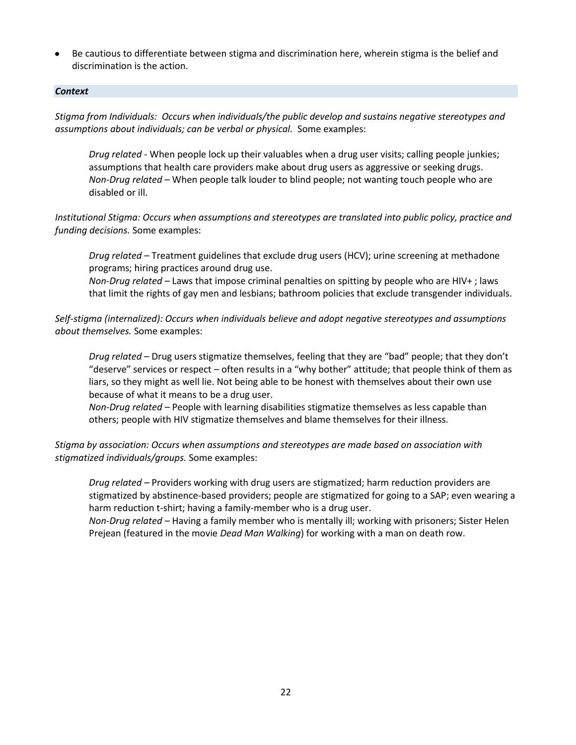Be cautious to differentiate between stigma and discrimination here, wherein stigma is the belief and discrimination is the action.

#### *Context*

*Stigma from Individuals: Occurs when individuals/the public develop and sustains negative stereotypes and assumptions about individuals; can be verbal or physical.* Some examples:

*Drug related* - When people lock up their valuables when a drug user visits; calling people junkies; assumptions that health care providers make about drug users as aggressive or seeking drugs. *Non-Drug related* – When people talk louder to blind people; not wanting touch people who are disabled or ill.

*Institutional Stigma: Occurs when assumptions and stereotypes are translated into public policy, practice and funding decisions.* Some examples:

*Drug related –* Treatment guidelines that exclude drug users (HCV); urine screening at methadone programs; hiring practices around drug use.

*Non-Drug related –* Laws that impose criminal penalties on spitting by people who are HIV+ ; laws that limit the rights of gay men and lesbians; bathroom policies that exclude transgender individuals.

*Self-stigma (internalized): Occurs when individuals believe and adopt negative stereotypes and assumptions about themselves.* Some examples:

*Drug related* – Drug users stigmatize themselves, feeling that they are "bad" people; that they don't "deserve" services or respect – often results in a "why bother" attitude; that people think of them as liars, so they might as well lie. Not being able to be honest with themselves about their own use because of what it means to be a drug user.

*Non-Drug related –* People with learning disabilities stigmatize themselves as less capable than others; people with HIV stigmatize themselves and blame themselves for their illness.

*Stigma by association: Occurs when assumptions and stereotypes are made based on association with stigmatized individuals/groups.* Some examples:

*Drug related –* Providers working with drug users are stigmatized; harm reduction providers are stigmatized by abstinence-based providers; people are stigmatized for going to a SAP; even wearing a harm reduction t-shirt; having a family-member who is a drug user.

*Non-Drug related –* Having a family member who is mentally ill; working with prisoners; Sister Helen Prejean (featured in the movie *Dead Man Walking*) for working with a man on death row.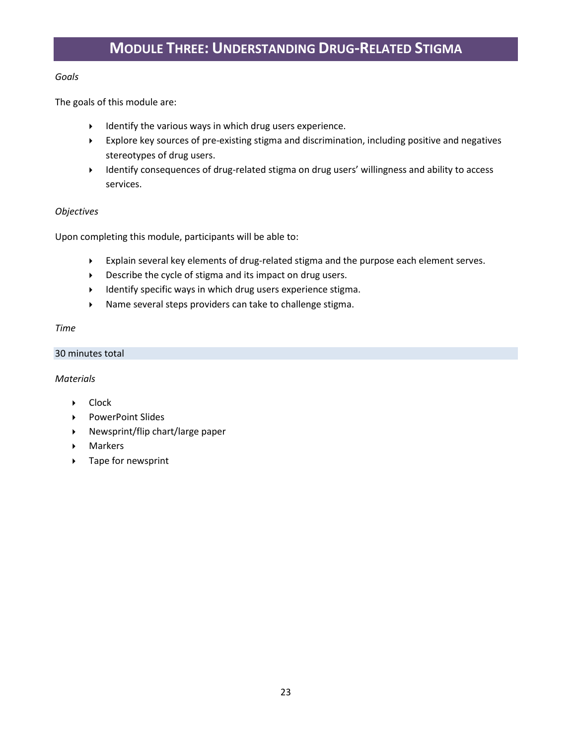## **MODULE THREE: UNDERSTANDING DRUG-RELATED STIGMA**

#### *Goals*

The goals of this module are:

- $\blacktriangleright$  Identify the various ways in which drug users experience.
- Explore key sources of pre-existing stigma and discrimination, including positive and negatives stereotypes of drug users.
- Identify consequences of drug-related stigma on drug users' willingness and ability to access services.

#### *Objectives*

Upon completing this module, participants will be able to:

- Explain several key elements of drug-related stigma and the purpose each element serves.
- Describe the cycle of stigma and its impact on drug users.
- Identify specific ways in which drug users experience stigma.
- Name several steps providers can take to challenge stigma.

#### *Time*

30 minutes total

#### *Materials*

- **Clock**
- ▶ PowerPoint Slides
- $\triangleright$  Newsprint/flip chart/large paper
- Markers
- ▶ Tape for newsprint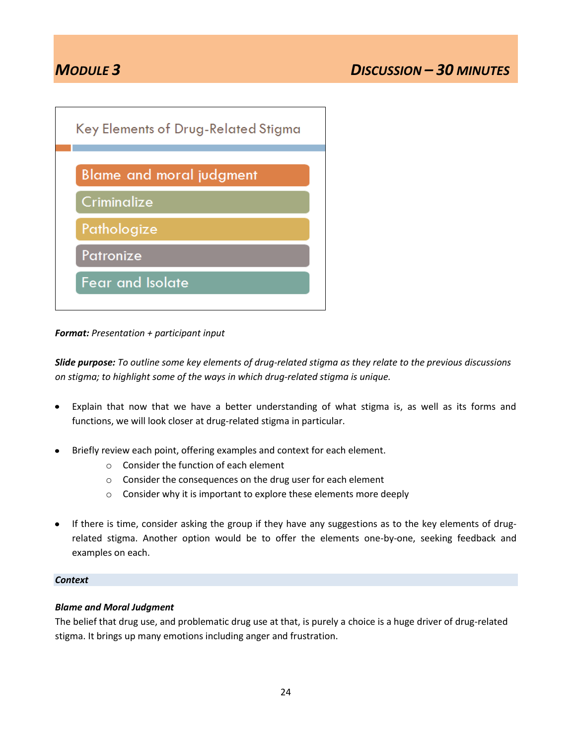

*Format: Presentation + participant input*

*Slide purpose: To outline some key elements of drug-related stigma as they relate to the previous discussions on stigma; to highlight some of the ways in which drug-related stigma is unique.*

- Explain that now that we have a better understanding of what stigma is, as well as its forms and  $\bullet$ functions, we will look closer at drug-related stigma in particular.
- Briefly review each point, offering examples and context for each element.
	- o Consider the function of each element
	- o Consider the consequences on the drug user for each element
	- o Consider why it is important to explore these elements more deeply
- If there is time, consider asking the group if they have any suggestions as to the key elements of drugrelated stigma. Another option would be to offer the elements one-by-one, seeking feedback and examples on each.

#### *Context*

### *Blame and Moral Judgment*

The belief that drug use, and problematic drug use at that, is purely a choice is a huge driver of drug-related stigma. It brings up many emotions including anger and frustration.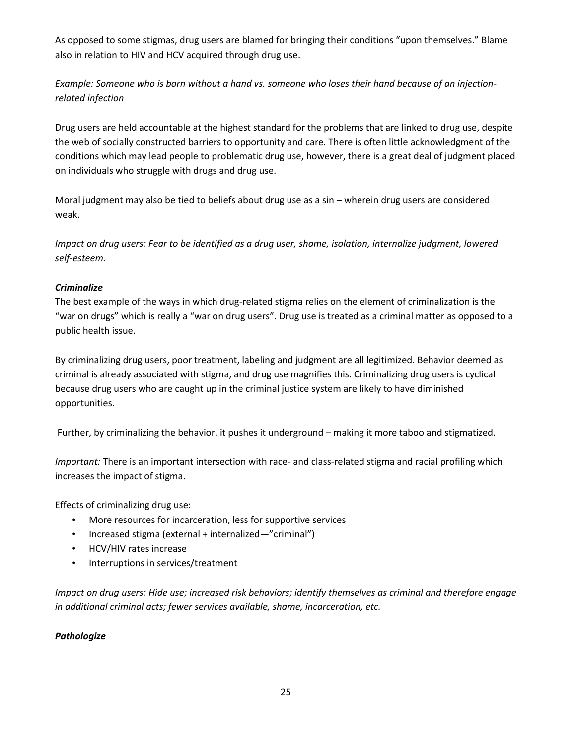As opposed to some stigmas, drug users are blamed for bringing their conditions "upon themselves." Blame also in relation to HIV and HCV acquired through drug use.

*Example: Someone who is born without a hand vs. someone who loses their hand because of an injectionrelated infection*

Drug users are held accountable at the highest standard for the problems that are linked to drug use, despite the web of socially constructed barriers to opportunity and care. There is often little acknowledgment of the conditions which may lead people to problematic drug use, however, there is a great deal of judgment placed on individuals who struggle with drugs and drug use.

Moral judgment may also be tied to beliefs about drug use as a sin – wherein drug users are considered weak.

*Impact on drug users: Fear to be identified as a drug user, shame, isolation, internalize judgment, lowered self-esteem.*

### *Criminalize*

The best example of the ways in which drug-related stigma relies on the element of criminalization is the "war on drugs" which is really a "war on drug users". Drug use is treated as a criminal matter as opposed to a public health issue.

By criminalizing drug users, poor treatment, labeling and judgment are all legitimized. Behavior deemed as criminal is already associated with stigma, and drug use magnifies this. Criminalizing drug users is cyclical because drug users who are caught up in the criminal justice system are likely to have diminished opportunities.

Further, by criminalizing the behavior, it pushes it underground – making it more taboo and stigmatized.

*Important:* There is an important intersection with race- and class-related stigma and racial profiling which increases the impact of stigma.

Effects of criminalizing drug use:

- More resources for incarceration, less for supportive services
- Increased stigma (external + internalized—"criminal")
- HCV/HIV rates increase
- Interruptions in services/treatment

*Impact on drug users: Hide use; increased risk behaviors; identify themselves as criminal and therefore engage in additional criminal acts; fewer services available, shame, incarceration, etc.*

### *Pathologize*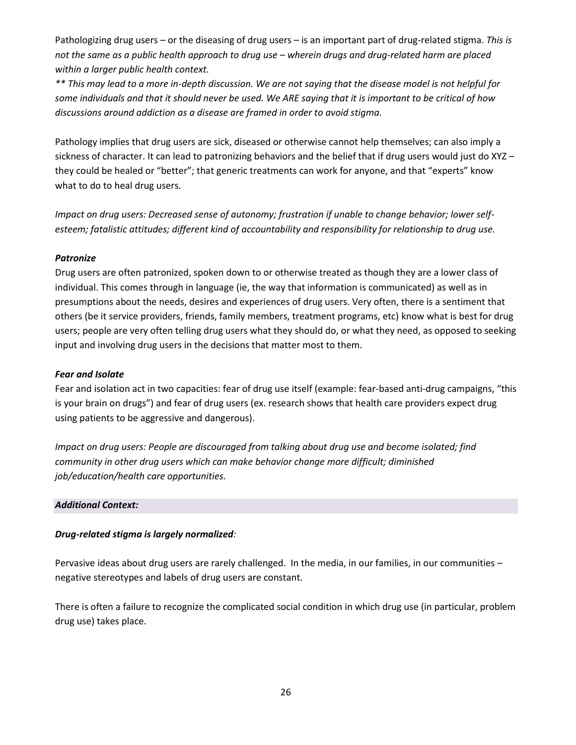Pathologizing drug users – or the diseasing of drug users – is an important part of drug-related stigma. *This is not the same as a public health approach to drug use – wherein drugs and drug-related harm are placed within a larger public health context.* 

*\*\* This may lead to a more in-depth discussion. We are not saying that the disease model is not helpful for some individuals and that it should never be used. We ARE saying that it is important to be critical of how discussions around addiction as a disease are framed in order to avoid stigma.*

Pathology implies that drug users are sick, diseased or otherwise cannot help themselves; can also imply a sickness of character. It can lead to patronizing behaviors and the belief that if drug users would just do XYZ they could be healed or "better"; that generic treatments can work for anyone, and that "experts" know what to do to heal drug users.

*Impact on drug users: Decreased sense of autonomy; frustration if unable to change behavior; lower selfesteem; fatalistic attitudes; different kind of accountability and responsibility for relationship to drug use.*

#### *Patronize*

Drug users are often patronized, spoken down to or otherwise treated as though they are a lower class of individual. This comes through in language (ie, the way that information is communicated) as well as in presumptions about the needs, desires and experiences of drug users. Very often, there is a sentiment that others (be it service providers, friends, family members, treatment programs, etc) know what is best for drug users; people are very often telling drug users what they should do, or what they need, as opposed to seeking input and involving drug users in the decisions that matter most to them.

#### *Fear and Isolate*

Fear and isolation act in two capacities: fear of drug use itself (example: fear-based anti-drug campaigns, "this is your brain on drugs") and fear of drug users (ex. research shows that health care providers expect drug using patients to be aggressive and dangerous).

*Impact on drug users: People are discouraged from talking about drug use and become isolated; find community in other drug users which can make behavior change more difficult; diminished job/education/health care opportunities.* 

#### *Additional Context:*

### *Drug-related stigma is largely normalized:*

Pervasive ideas about drug users are rarely challenged. In the media, in our families, in our communities – negative stereotypes and labels of drug users are constant.

There is often a failure to recognize the complicated social condition in which drug use (in particular, problem drug use) takes place.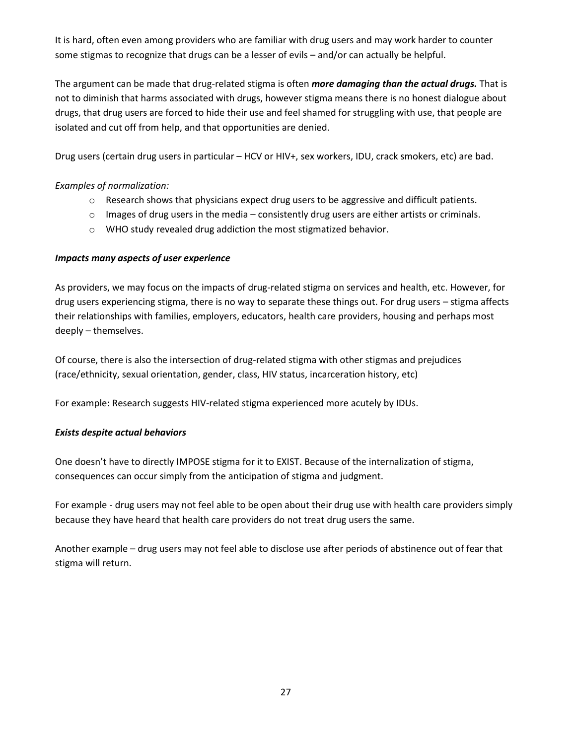It is hard, often even among providers who are familiar with drug users and may work harder to counter some stigmas to recognize that drugs can be a lesser of evils – and/or can actually be helpful.

The argument can be made that drug-related stigma is often *more damaging than the actual drugs.* That is not to diminish that harms associated with drugs, however stigma means there is no honest dialogue about drugs, that drug users are forced to hide their use and feel shamed for struggling with use, that people are isolated and cut off from help, and that opportunities are denied.

Drug users (certain drug users in particular – HCV or HIV+, sex workers, IDU, crack smokers, etc) are bad.

### *Examples of normalization:*

- o Research shows that physicians expect drug users to be aggressive and difficult patients.
- $\circ$  Images of drug users in the media consistently drug users are either artists or criminals.
- o WHO study revealed drug addiction the most stigmatized behavior.

### *Impacts many aspects of user experience*

As providers, we may focus on the impacts of drug-related stigma on services and health, etc. However, for drug users experiencing stigma, there is no way to separate these things out. For drug users – stigma affects their relationships with families, employers, educators, health care providers, housing and perhaps most deeply – themselves.

Of course, there is also the intersection of drug-related stigma with other stigmas and prejudices (race/ethnicity, sexual orientation, gender, class, HIV status, incarceration history, etc)

For example: Research suggests HIV-related stigma experienced more acutely by IDUs.

### *Exists despite actual behaviors*

One doesn't have to directly IMPOSE stigma for it to EXIST. Because of the internalization of stigma, consequences can occur simply from the anticipation of stigma and judgment.

For example - drug users may not feel able to be open about their drug use with health care providers simply because they have heard that health care providers do not treat drug users the same.

Another example – drug users may not feel able to disclose use after periods of abstinence out of fear that stigma will return.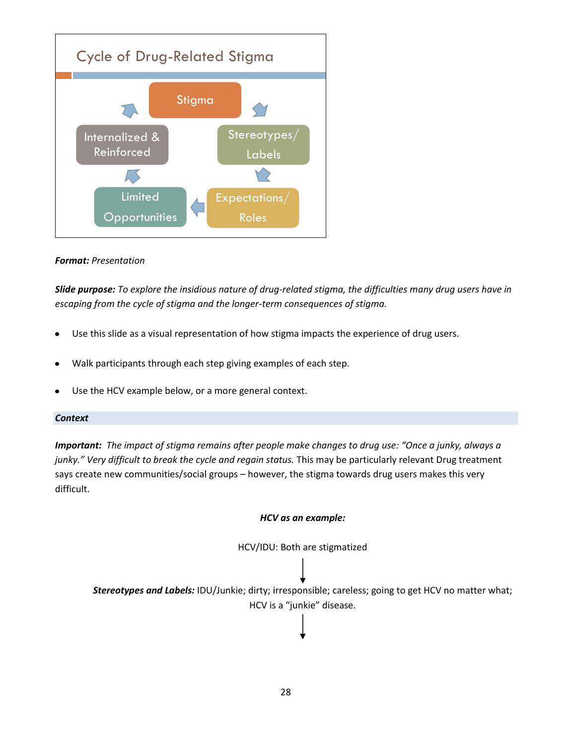

#### *Format: Presentation*

*Slide purpose: To explore the insidious nature of drug-related stigma, the difficulties many drug users have in escaping from the cycle of stigma and the longer-term consequences of stigma.* 

- Use this slide as a visual representation of how stigma impacts the experience of drug users.
- Walk participants through each step giving examples of each step.
- Use the HCV example below, or a more general context.

#### *Context*

*Important: The impact of stigma remains after people make changes to drug use: "Once a junky, always a junky." Very difficult to break the cycle and regain status.* This may be particularly relevant Drug treatment says create new communities/social groups – however, the stigma towards drug users makes this very difficult.

#### *HCV as an example:*



*Stereotypes and Labels:* IDU/Junkie; dirty; irresponsible; careless; going to get HCV no matter what; HCV is a "junkie" disease.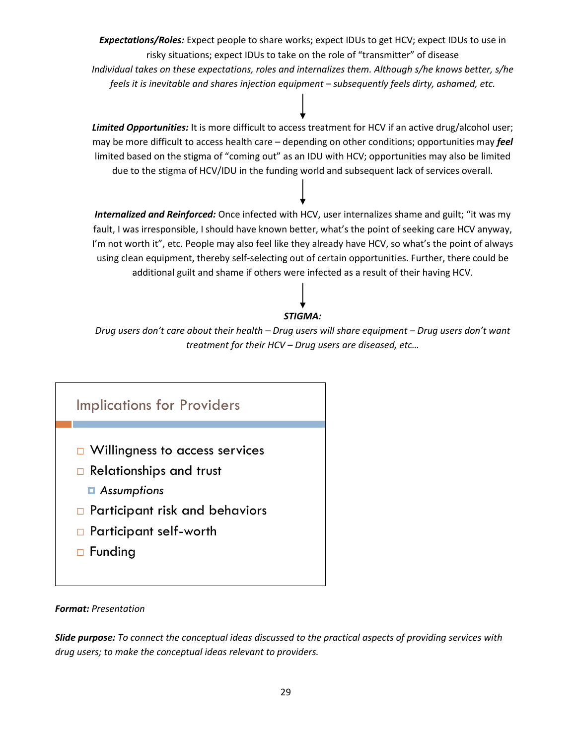*Expectations/Roles:* Expect people to share works; expect IDUs to get HCV; expect IDUs to use in risky situations; expect IDUs to take on the role of "transmitter" of disease *Individual takes on these expectations, roles and internalizes them. Although s/he knows better, s/he feels it is inevitable and shares injection equipment – subsequently feels dirty, ashamed, etc.*

*Limited Opportunities:* It is more difficult to access treatment for HCV if an active drug/alcohol user; may be more difficult to access health care – depending on other conditions; opportunities may *feel* limited based on the stigma of "coming out" as an IDU with HCV; opportunities may also be limited due to the stigma of HCV/IDU in the funding world and subsequent lack of services overall.

*Internalized and Reinforced:* Once infected with HCV, user internalizes shame and guilt; "it was my fault, I was irresponsible, I should have known better, what's the point of seeking care HCV anyway, I'm not worth it", etc. People may also feel like they already have HCV, so what's the point of always using clean equipment, thereby self-selecting out of certain opportunities. Further, there could be additional guilt and shame if others were infected as a result of their having HCV.

### *STIGMA:*

*Drug users don't care about their health – Drug users will share equipment – Drug users don't want treatment for their HCV – Drug users are diseased, etc…*



#### *Format: Presentation*

*Slide purpose: To connect the conceptual ideas discussed to the practical aspects of providing services with drug users; to make the conceptual ideas relevant to providers.*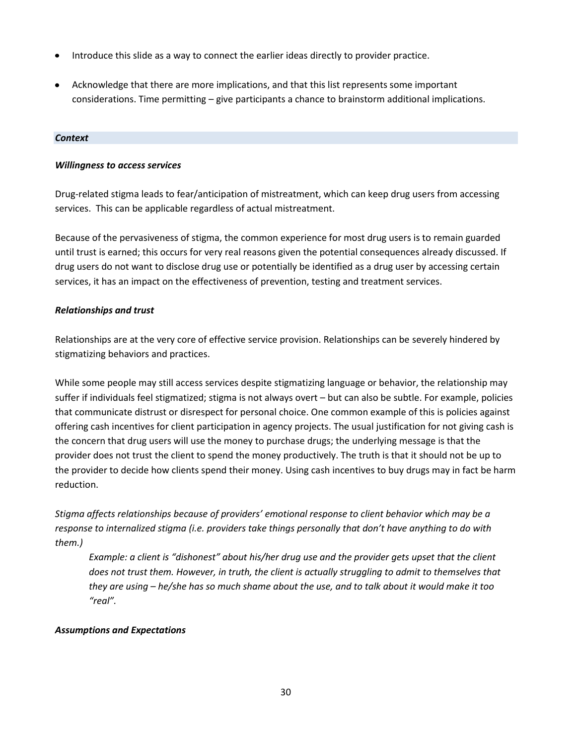- Introduce this slide as a way to connect the earlier ideas directly to provider practice.  $\bullet$
- Acknowledge that there are more implications, and that this list represents some important considerations. Time permitting – give participants a chance to brainstorm additional implications.

#### *Context*

#### *Willingness to access services*

Drug-related stigma leads to fear/anticipation of mistreatment, which can keep drug users from accessing services. This can be applicable regardless of actual mistreatment.

Because of the pervasiveness of stigma, the common experience for most drug users is to remain guarded until trust is earned; this occurs for very real reasons given the potential consequences already discussed. If drug users do not want to disclose drug use or potentially be identified as a drug user by accessing certain services, it has an impact on the effectiveness of prevention, testing and treatment services.

#### *Relationships and trust*

Relationships are at the very core of effective service provision. Relationships can be severely hindered by stigmatizing behaviors and practices.

While some people may still access services despite stigmatizing language or behavior, the relationship may suffer if individuals feel stigmatized; stigma is not always overt – but can also be subtle. For example, policies that communicate distrust or disrespect for personal choice. One common example of this is policies against offering cash incentives for client participation in agency projects. The usual justification for not giving cash is the concern that drug users will use the money to purchase drugs; the underlying message is that the provider does not trust the client to spend the money productively. The truth is that it should not be up to the provider to decide how clients spend their money. Using cash incentives to buy drugs may in fact be harm reduction.

*Stigma affects relationships because of providers' emotional response to client behavior which may be a response to internalized stigma (i.e. providers take things personally that don't have anything to do with them.)* 

*Example: a client is "dishonest" about his/her drug use and the provider gets upset that the client does not trust them. However, in truth, the client is actually struggling to admit to themselves that they are using – he/she has so much shame about the use, and to talk about it would make it too "real".*

#### *Assumptions and Expectations*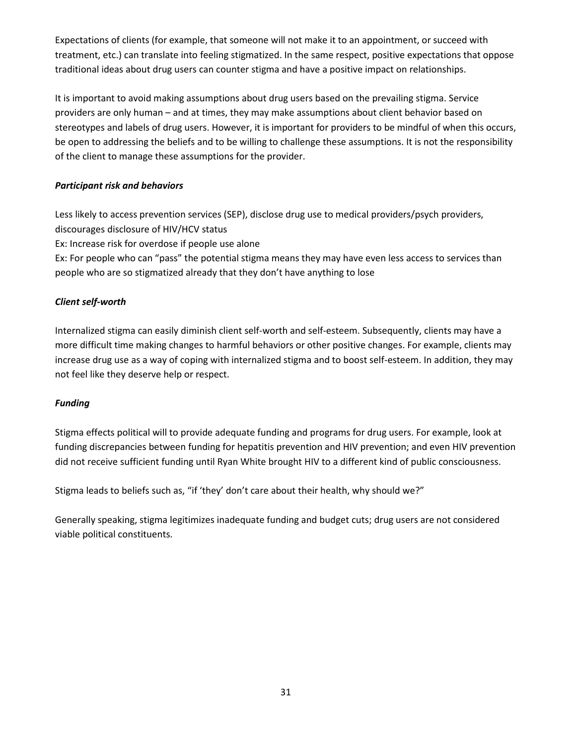Expectations of clients (for example, that someone will not make it to an appointment, or succeed with treatment, etc.) can translate into feeling stigmatized. In the same respect, positive expectations that oppose traditional ideas about drug users can counter stigma and have a positive impact on relationships.

It is important to avoid making assumptions about drug users based on the prevailing stigma. Service providers are only human – and at times, they may make assumptions about client behavior based on stereotypes and labels of drug users. However, it is important for providers to be mindful of when this occurs, be open to addressing the beliefs and to be willing to challenge these assumptions. It is not the responsibility of the client to manage these assumptions for the provider.

### *Participant risk and behaviors*

Less likely to access prevention services (SEP), disclose drug use to medical providers/psych providers, discourages disclosure of HIV/HCV status

Ex: Increase risk for overdose if people use alone

Ex: For people who can "pass" the potential stigma means they may have even less access to services than people who are so stigmatized already that they don't have anything to lose

### *Client self-worth*

Internalized stigma can easily diminish client self-worth and self-esteem. Subsequently, clients may have a more difficult time making changes to harmful behaviors or other positive changes. For example, clients may increase drug use as a way of coping with internalized stigma and to boost self-esteem. In addition, they may not feel like they deserve help or respect.

### *Funding*

Stigma effects political will to provide adequate funding and programs for drug users. For example, look at funding discrepancies between funding for hepatitis prevention and HIV prevention; and even HIV prevention did not receive sufficient funding until Ryan White brought HIV to a different kind of public consciousness.

Stigma leads to beliefs such as, "if 'they' don't care about their health, why should we?"

Generally speaking, stigma legitimizes inadequate funding and budget cuts; drug users are not considered viable political constituents.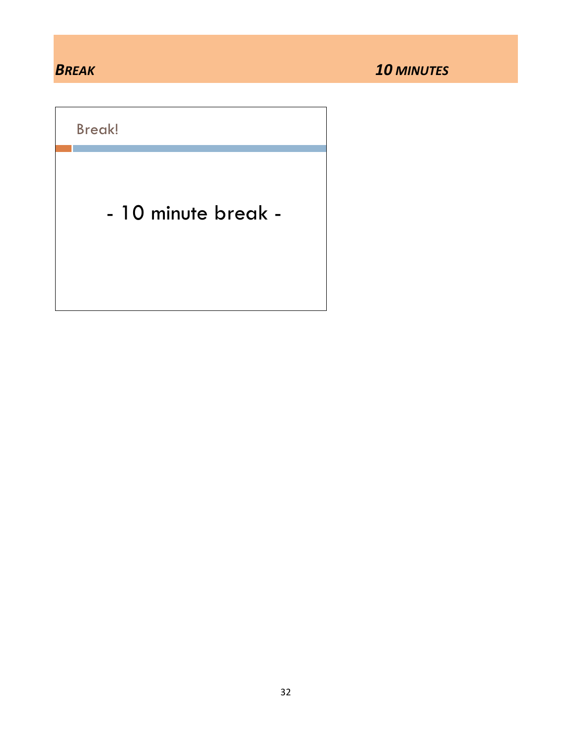Break!

- 10 minute break -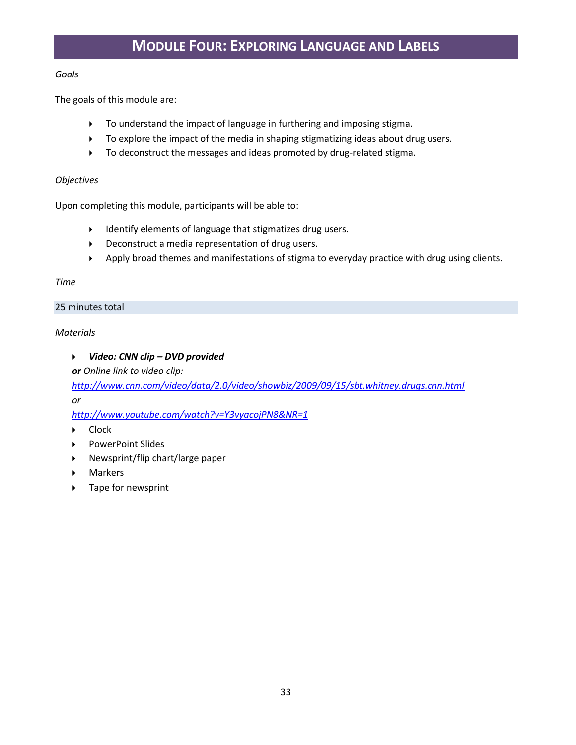#### *Goals*

The goals of this module are:

- To understand the impact of language in furthering and imposing stigma.
- To explore the impact of the media in shaping stigmatizing ideas about drug users.
- $\triangleright$  To deconstruct the messages and ideas promoted by drug-related stigma.

#### *Objectives*

Upon completing this module, participants will be able to:

- Identify elements of language that stigmatizes drug users.
- Deconstruct a media representation of drug users.
- Apply broad themes and manifestations of stigma to everyday practice with drug using clients.

#### *Time*

#### 25 minutes total

### *Materials*

### *Video: CNN clip – DVD provided*

*or Online link to video clip:* 

*<http://www.cnn.com/video/data/2.0/video/showbiz/2009/09/15/sbt.whitney.drugs.cnn.html> or*

*<http://www.youtube.com/watch?v=Y3vyacojPN8&NR=1>*

- ▶ Clock
- ▶ PowerPoint Slides
- $\triangleright$  Newsprint/flip chart/large paper
- Markers
- ▶ Tape for newsprint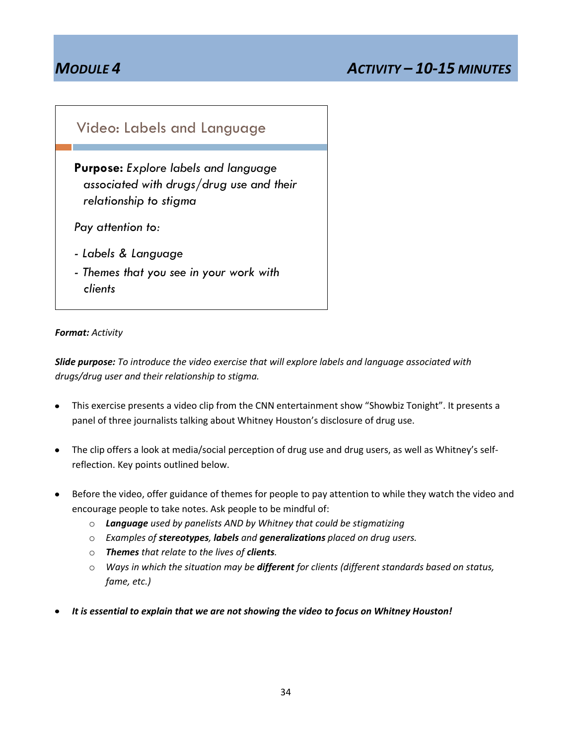## *MODULE 4 ACTIVITY – 10-15 MINUTES*

## Video: Labels and Language

**Purpose:** *Explore labels and language associated with drugs/drug use and their relationship to stigma*

*Pay attention to:*

- *- Labels & Language*
- *- Themes that you see in your work with clients*

#### *Format: Activity*

*Slide purpose: To introduce the video exercise that will explore labels and language associated with drugs/drug user and their relationship to stigma.*

- This exercise presents a video clip from the CNN entertainment show "Showbiz Tonight". It presents a panel of three journalists talking about Whitney Houston's disclosure of drug use.
- The clip offers a look at media/social perception of drug use and drug users, as well as Whitney's self- $\bullet$ reflection. Key points outlined below.
- Before the video, offer guidance of themes for people to pay attention to while they watch the video and encourage people to take notes. Ask people to be mindful of:
	- o *Language used by panelists AND by Whitney that could be stigmatizing*
	- o *Examples of stereotypes, labels and generalizations placed on drug users.*
	- o *Themes that relate to the lives of clients.*
	- o *Ways in which the situation may be different for clients (different standards based on status, fame, etc.)*
- *It is essential to explain that we are not showing the video to focus on Whitney Houston!*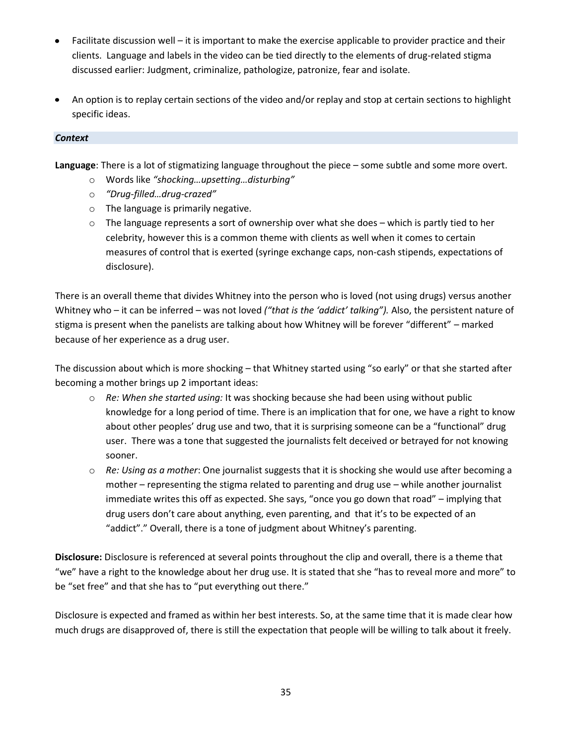- Facilitate discussion well it is important to make the exercise applicable to provider practice and their clients. Language and labels in the video can be tied directly to the elements of drug-related stigma discussed earlier: Judgment, criminalize, pathologize, patronize, fear and isolate.
- An option is to replay certain sections of the video and/or replay and stop at certain sections to highlight specific ideas.

#### *Context*

**Language**: There is a lot of stigmatizing language throughout the piece – some subtle and some more overt.

- o Words like *"shocking…upsetting…disturbing"*
- o *"Drug-filled…drug-crazed"*
- o The language is primarily negative.
- $\circ$  The language represents a sort of ownership over what she does which is partly tied to her celebrity, however this is a common theme with clients as well when it comes to certain measures of control that is exerted (syringe exchange caps, non-cash stipends, expectations of disclosure).

There is an overall theme that divides Whitney into the person who is loved (not using drugs) versus another Whitney who – it can be inferred – was not loved *("that is the 'addict' talking").* Also, the persistent nature of stigma is present when the panelists are talking about how Whitney will be forever "different" – marked because of her experience as a drug user.

The discussion about which is more shocking – that Whitney started using "so early" or that she started after becoming a mother brings up 2 important ideas:

- o *Re: When she started using:* It was shocking because she had been using without public knowledge for a long period of time. There is an implication that for one, we have a right to know about other peoples' drug use and two, that it is surprising someone can be a "functional" drug user. There was a tone that suggested the journalists felt deceived or betrayed for not knowing sooner.
- o *Re: Using as a mother*: One journalist suggests that it is shocking she would use after becoming a mother – representing the stigma related to parenting and drug use – while another journalist immediate writes this off as expected. She says, "once you go down that road" – implying that drug users don't care about anything, even parenting, and that it's to be expected of an "addict"." Overall, there is a tone of judgment about Whitney's parenting.

**Disclosure:** Disclosure is referenced at several points throughout the clip and overall, there is a theme that "we" have a right to the knowledge about her drug use. It is stated that she "has to reveal more and more" to be "set free" and that she has to "put everything out there."

Disclosure is expected and framed as within her best interests. So, at the same time that it is made clear how much drugs are disapproved of, there is still the expectation that people will be willing to talk about it freely.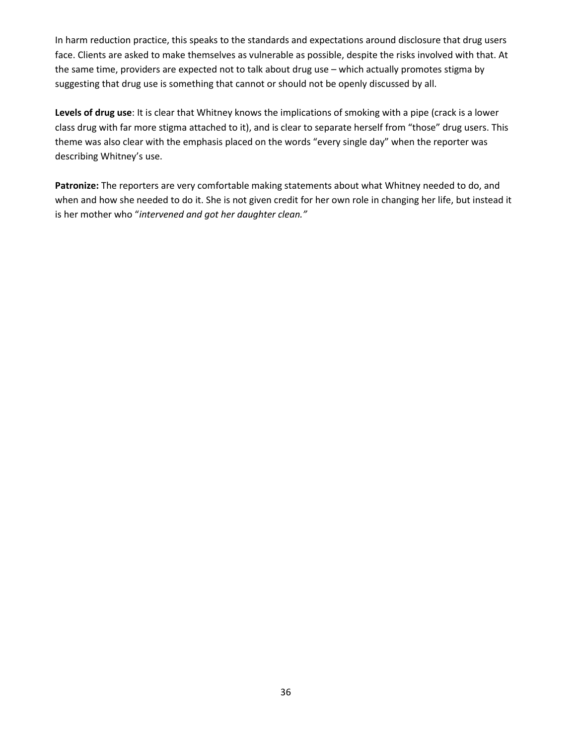In harm reduction practice, this speaks to the standards and expectations around disclosure that drug users face. Clients are asked to make themselves as vulnerable as possible, despite the risks involved with that. At the same time, providers are expected not to talk about drug use – which actually promotes stigma by suggesting that drug use is something that cannot or should not be openly discussed by all.

**Levels of drug use**: It is clear that Whitney knows the implications of smoking with a pipe (crack is a lower class drug with far more stigma attached to it), and is clear to separate herself from "those" drug users. This theme was also clear with the emphasis placed on the words "every single day" when the reporter was describing Whitney's use.

**Patronize:** The reporters are very comfortable making statements about what Whitney needed to do, and when and how she needed to do it. She is not given credit for her own role in changing her life, but instead it is her mother who "*intervened and got her daughter clean."*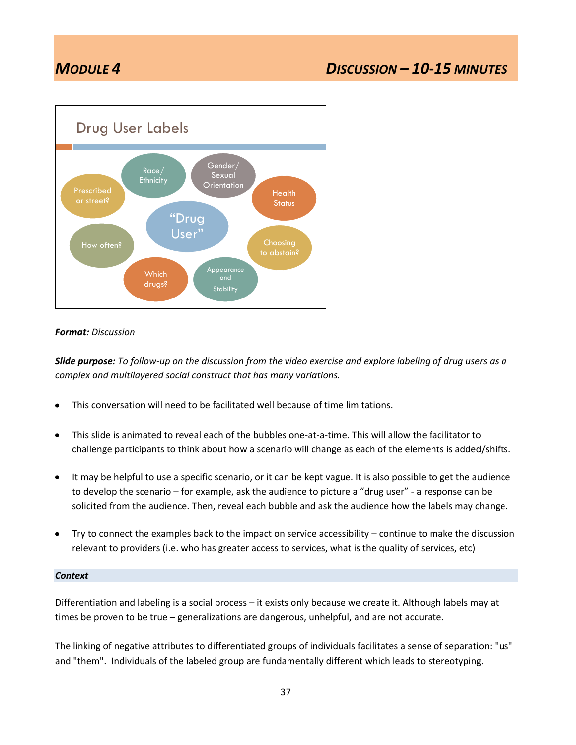## *MODULE 4 DISCUSSION – 10-15 MINUTES*



#### *Format: Discussion*

*Slide purpose: To follow-up on the discussion from the video exercise and explore labeling of drug users as a complex and multilayered social construct that has many variations.*

- This conversation will need to be facilitated well because of time limitations.  $\bullet$
- This slide is animated to reveal each of the bubbles one-at-a-time. This will allow the facilitator to  $\bullet$ challenge participants to think about how a scenario will change as each of the elements is added/shifts.
- It may be helpful to use a specific scenario, or it can be kept vague. It is also possible to get the audience  $\bullet$ to develop the scenario – for example, ask the audience to picture a "drug user" - a response can be solicited from the audience. Then, reveal each bubble and ask the audience how the labels may change.
- Try to connect the examples back to the impact on service accessibility continue to make the discussion relevant to providers (i.e. who has greater access to services, what is the quality of services, etc)

#### *Context*

Differentiation and labeling is a social process – it exists only because we create it. Although labels may at times be proven to be true – generalizations are dangerous, unhelpful, and are not accurate.

The linking of negative attributes to differentiated groups of individuals facilitates a sense of separation: "us" and "them". Individuals of the labeled group are fundamentally different which leads to stereotyping.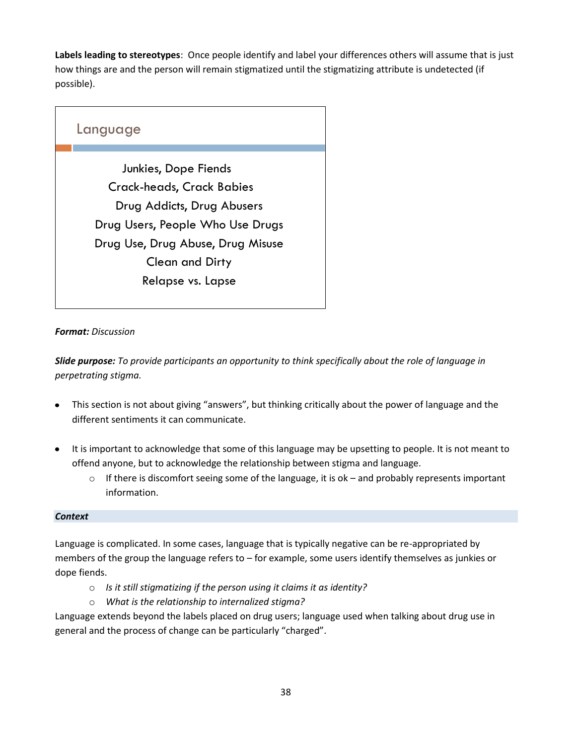**Labels leading to stereotypes**: Once people identify and label your differences others will assume that is just how things are and the person will remain stigmatized until the stigmatizing attribute is undetected (if possible).

## Language Junkies, Dope Fiends Crack-heads, Crack Babies Drug Addicts, Drug Abusers Drug Users, People Who Use Drugs Drug Use, Drug Abuse, Drug Misuse Clean and Dirty Relapse vs. Lapse

### *Format: Discussion*

*Slide purpose: To provide participants an opportunity to think specifically about the role of language in perpetrating stigma.* 

- This section is not about giving "answers", but thinking critically about the power of language and the different sentiments it can communicate.
- It is important to acknowledge that some of this language may be upsetting to people. It is not meant to offend anyone, but to acknowledge the relationship between stigma and language.
	- $\circ$  If there is discomfort seeing some of the language, it is ok and probably represents important information.

### *Context*

Language is complicated. In some cases, language that is typically negative can be re-appropriated by members of the group the language refers to – for example, some users identify themselves as junkies or dope fiends.

- o *Is it still stigmatizing if the person using it claims it as identity?*
- o *What is the relationship to internalized stigma?*

Language extends beyond the labels placed on drug users; language used when talking about drug use in general and the process of change can be particularly "charged".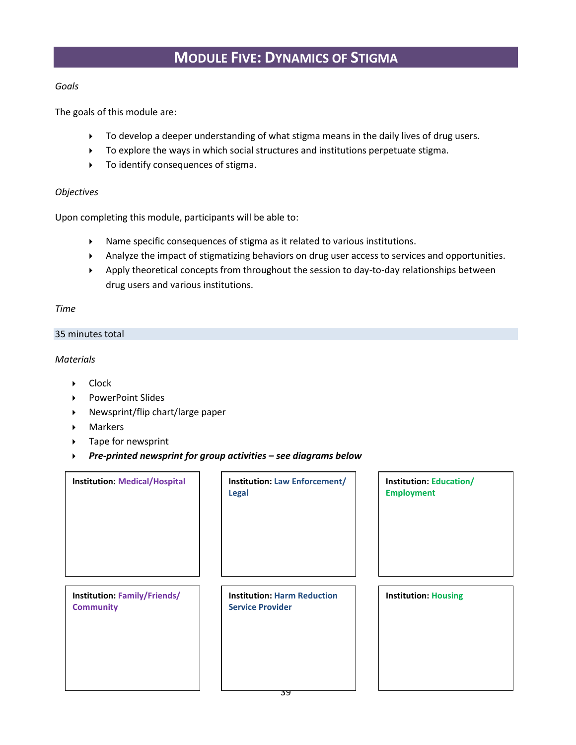## **MODULE FIVE: DYNAMICS OF STIGMA**

#### *Goals*

The goals of this module are:

- $\triangleright$  To develop a deeper understanding of what stigma means in the daily lives of drug users.
- To explore the ways in which social structures and institutions perpetuate stigma.
- $\triangleright$  To identify consequences of stigma.

#### *Objectives*

Upon completing this module, participants will be able to:

- Name specific consequences of stigma as it related to various institutions.
- Analyze the impact of stigmatizing behaviors on drug user access to services and opportunities.
- Apply theoretical concepts from throughout the session to day-to-day relationships between drug users and various institutions.

#### *Time*

#### 35 minutes total

*Materials*

- ▶ Clock
- ▶ PowerPoint Slides
- Newsprint/flip chart/large paper
- Markers
- ▶ Tape for newsprint
- *Pre-printed newsprint for group activities – see diagrams below*

| <b>Institution: Medical/Hospital</b>                    | <b>Institution: Law Enforcement/</b><br><b>Legal</b>          | <b>Institution: Education/</b><br><b>Employment</b> |
|---------------------------------------------------------|---------------------------------------------------------------|-----------------------------------------------------|
| <b>Institution: Family/Friends/</b><br><b>Community</b> | <b>Institution: Harm Reduction</b><br><b>Service Provider</b> | <b>Institution: Housing</b>                         |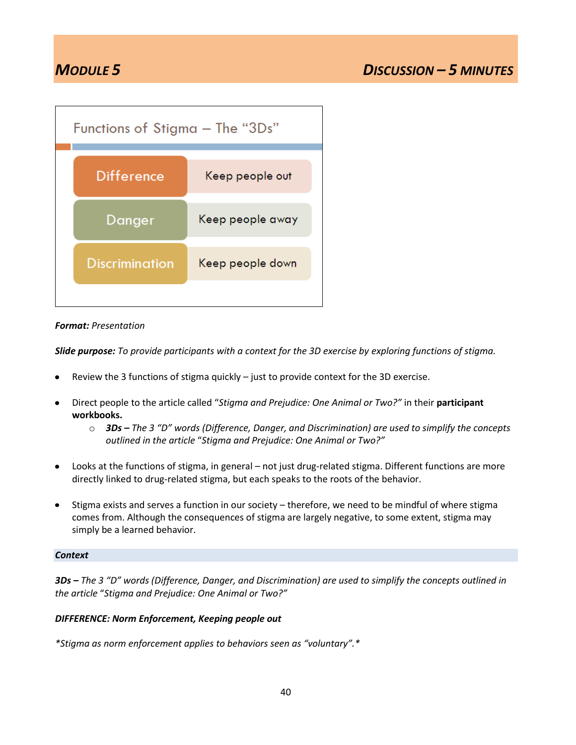| Functions of Stigma – The "3Ds" |                  |  |  |
|---------------------------------|------------------|--|--|
| <b>Difference</b>               | Keep people out  |  |  |
| Danger                          | Keep people away |  |  |
| <b>Discrimination</b>           | Keep people down |  |  |
|                                 |                  |  |  |

#### *Format: Presentation*

*Slide purpose: To provide participants with a context for the 3D exercise by exploring functions of stigma.* 

- Review the 3 functions of stigma quickly just to provide context for the 3D exercise.
- Direct people to the article called "*Stigma and Prejudice: One Animal or Two?"* in their **participant**   $\bullet$ **workbooks.**
	- o *3Ds – The 3 "D" words (Difference, Danger, and Discrimination) are used to simplify the concepts outlined in the article* "*Stigma and Prejudice: One Animal or Two?"*
- Looks at the functions of stigma, in general not just drug-related stigma. Different functions are more  $\bullet$ directly linked to drug-related stigma, but each speaks to the roots of the behavior.
- Stigma exists and serves a function in our society therefore, we need to be mindful of where stigma  $\bullet$ comes from. Although the consequences of stigma are largely negative, to some extent, stigma may simply be a learned behavior.

#### *Context*

*3Ds – The 3 "D" words (Difference, Danger, and Discrimination) are used to simplify the concepts outlined in the article* "*Stigma and Prejudice: One Animal or Two?"*

#### *DIFFERENCE: Norm Enforcement, Keeping people out*

*\*Stigma as norm enforcement applies to behaviors seen as "voluntary".\**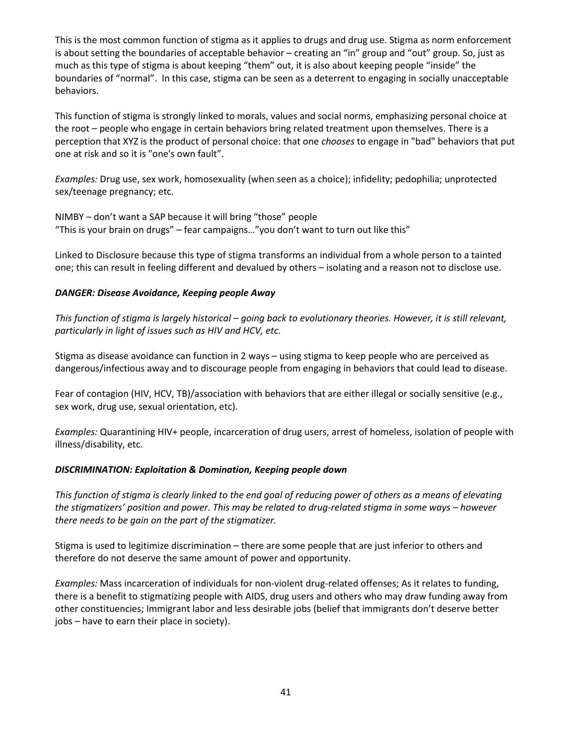This is the most common function of stigma as it applies to drugs and drug use. Stigma as norm enforcement is about setting the boundaries of acceptable behavior – creating an "in" group and "out" group. So, just as much as this type of stigma is about keeping "them" out, it is also about keeping people "inside" the boundaries of "normal". In this case, stigma can be seen as a deterrent to engaging in socially unacceptable behaviors.

This function of stigma is strongly linked to morals, values and social norms, emphasizing personal choice at the root – people who engage in certain behaviors bring related treatment upon themselves. There is a perception that XYZ is the product of personal choice: that one *chooses* to engage in "bad" behaviors that put one at risk and so it is "one's own fault".

*Examples:* Drug use, sex work, homosexuality (when seen as a choice); infidelity; pedophilia; unprotected sex/teenage pregnancy; etc.

NIMBY – don't want a SAP because it will bring "those" people "This is your brain on drugs" – fear campaigns…"you don't want to turn out like this"

Linked to Disclosure because this type of stigma transforms an individual from a whole person to a tainted one; this can result in feeling different and devalued by others – isolating and a reason not to disclose use.

#### *DANGER: Disease Avoidance, Keeping people Away*

*This function of stigma is largely historical – going back to evolutionary theories. However, it is still relevant, particularly in light of issues such as HIV and HCV, etc.*

Stigma as disease avoidance can function in 2 ways – using stigma to keep people who are perceived as dangerous/infectious away and to discourage people from engaging in behaviors that could lead to disease.

Fear of contagion (HIV, HCV, TB)/association with behaviors that are either illegal or socially sensitive (e.g., sex work, drug use, sexual orientation, etc).

*Examples:* Quarantining HIV+ people, incarceration of drug users, arrest of homeless, isolation of people with illness/disability, etc.

#### *DISCRIMINATION: Exploitation & Domination, Keeping people down*

*This function of stigma is clearly linked to the end goal of reducing power of others as a means of elevating the stigmatizers' position and power. This may be related to drug-related stigma in some ways – however there needs to be gain on the part of the stigmatizer.* 

Stigma is used to legitimize discrimination – there are some people that are just inferior to others and therefore do not deserve the same amount of power and opportunity.

*Examples:* Mass incarceration of individuals for non-violent drug-related offenses; As it relates to funding, there is a benefit to stigmatizing people with AIDS, drug users and others who may draw funding away from other constituencies; Immigrant labor and less desirable jobs (belief that immigrants don't deserve better jobs – have to earn their place in society).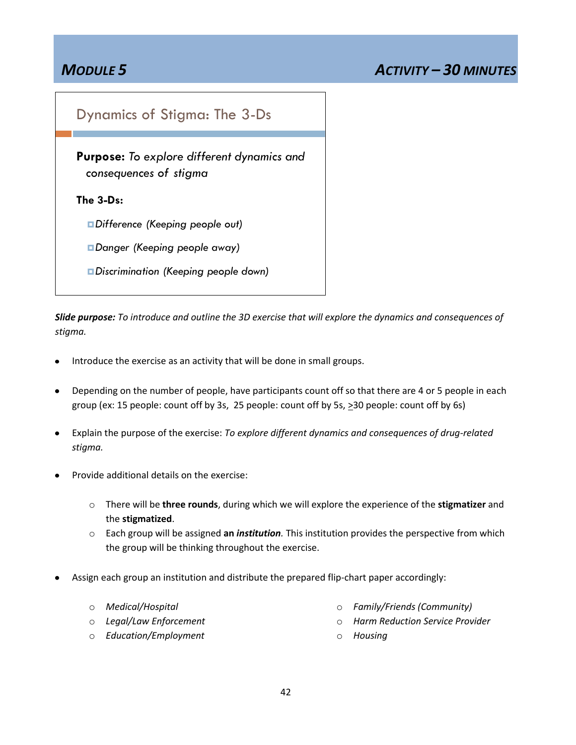## Dynamics of Stigma: The 3-Ds

**Purpose:** *To explore different dynamics and consequences of stigma*

**The 3-Ds:** 

*Difference (Keeping people out)*

*Danger (Keeping people away)*

*Discrimination (Keeping people down)*

*Slide purpose: To introduce and outline the 3D exercise that will explore the dynamics and consequences of stigma.*

- Introduce the exercise as an activity that will be done in small groups.
- Depending on the number of people, have participants count off so that there are 4 or 5 people in each  $\bullet$ group (ex: 15 people: count off by 3s, 25 people: count off by 5s, >30 people: count off by 6s)
- Explain the purpose of the exercise: *To explore different dynamics and consequences of drug-related stigma.*
- Provide additional details on the exercise:
	- o There will be **three rounds**, during which we will explore the experience of the **stigmatizer** and the **stigmatized**.
	- o Each group will be assigned **an** *institution.* This institution provides the perspective from which the group will be thinking throughout the exercise.
- Assign each group an institution and distribute the prepared flip-chart paper accordingly:
	- o *Medical/Hospital*
	- o *Legal/Law Enforcement*
- o *Family/Friends (Community)*
- o *Harm Reduction Service Provider*

o *Education/Employment*

o *Housing*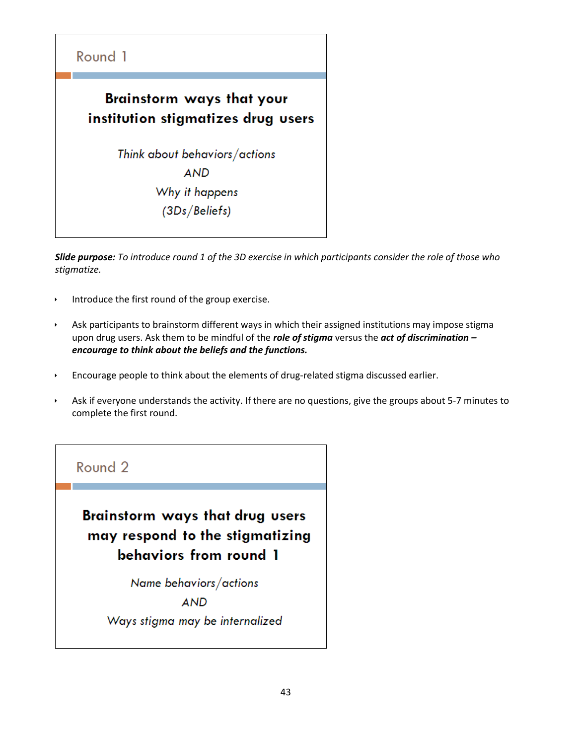

*Slide purpose: To introduce round 1 of the 3D exercise in which participants consider the role of those who stigmatize.*

- Introduce the first round of the group exercise.
- Ask participants to brainstorm different ways in which their assigned institutions may impose stigma upon drug users. Ask them to be mindful of the *role of stigma* versus the *act of discrimination – encourage to think about the beliefs and the functions.*
- Encourage people to think about the elements of drug-related stigma discussed earlier.
- Ask if everyone understands the activity. If there are no questions, give the groups about 5-7 minutes to complete the first round.

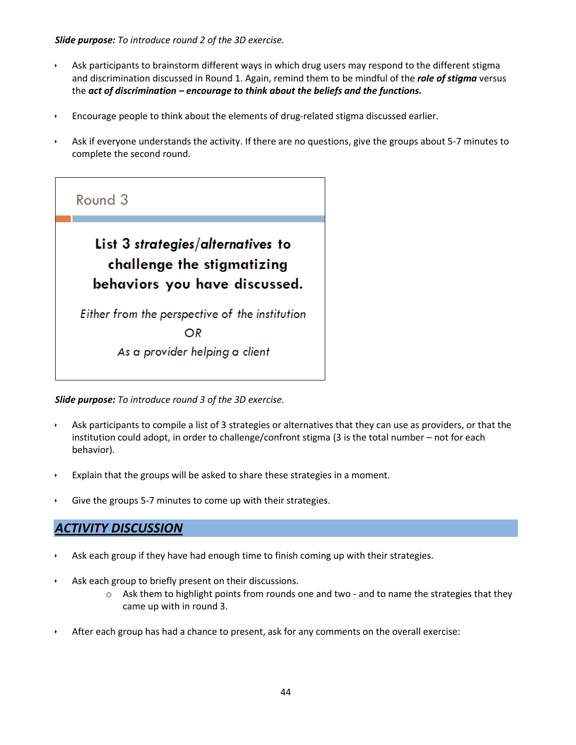*Slide purpose: To introduce round 2 of the 3D exercise.*

- Ask participants to brainstorm different ways in which drug users may respond to the different stigma and discrimination discussed in Round 1. Again, remind them to be mindful of the *role of stigma* versus the *act of discrimination – encourage to think about the beliefs and the functions.*
- Encourage people to think about the elements of drug-related stigma discussed earlier.
- Ask if everyone understands the activity. If there are no questions, give the groups about 5-7 minutes to complete the second round.

![](_page_43_Picture_4.jpeg)

*Slide purpose: To introduce round 3 of the 3D exercise.*

- Ask participants to compile a list of 3 strategies or alternatives that they can use as providers, or that the institution could adopt, in order to challenge/confront stigma (3 is the total number – not for each behavior).
- Explain that the groups will be asked to share these strategies in a moment.
- Give the groups 5-7 minutes to come up with their strategies.

### *ACTIVITY DISCUSSION*

- Ask each group if they have had enough time to finish coming up with their strategies.
- Ask each group to briefly present on their discussions.
	- $\circ$  Ask them to highlight points from rounds one and two and to name the strategies that they came up with in round 3.
- After each group has had a chance to present, ask for any comments on the overall exercise: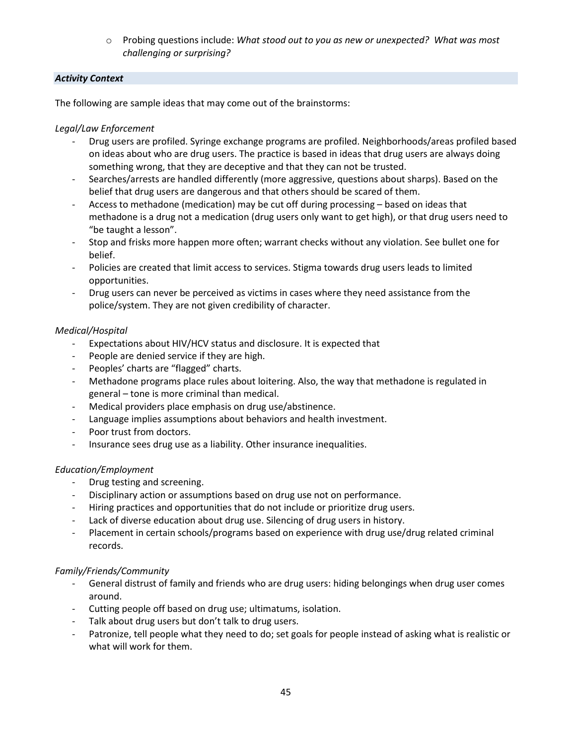o Probing questions include: *What stood out to you as new or unexpected? What was most challenging or surprising?*

#### *Activity Context*

The following are sample ideas that may come out of the brainstorms:

#### *Legal/Law Enforcement*

- Drug users are profiled. Syringe exchange programs are profiled. Neighborhoods/areas profiled based on ideas about who are drug users. The practice is based in ideas that drug users are always doing something wrong, that they are deceptive and that they can not be trusted.
- Searches/arrests are handled differently (more aggressive, questions about sharps). Based on the belief that drug users are dangerous and that others should be scared of them.
- Access to methadone (medication) may be cut off during processing based on ideas that methadone is a drug not a medication (drug users only want to get high), or that drug users need to "be taught a lesson".
- Stop and frisks more happen more often; warrant checks without any violation. See bullet one for belief.
- Policies are created that limit access to services. Stigma towards drug users leads to limited opportunities.
- Drug users can never be perceived as victims in cases where they need assistance from the police/system. They are not given credibility of character.

#### *Medical/Hospital*

- Expectations about HIV/HCV status and disclosure. It is expected that
- People are denied service if they are high.
- Peoples' charts are "flagged" charts.
- Methadone programs place rules about loitering. Also, the way that methadone is regulated in general – tone is more criminal than medical.
- Medical providers place emphasis on drug use/abstinence.
- Language implies assumptions about behaviors and health investment.
- Poor trust from doctors.
- Insurance sees drug use as a liability. Other insurance inequalities.

#### *Education/Employment*

- Drug testing and screening.
- Disciplinary action or assumptions based on drug use not on performance.
- Hiring practices and opportunities that do not include or prioritize drug users.
- Lack of diverse education about drug use. Silencing of drug users in history.
- Placement in certain schools/programs based on experience with drug use/drug related criminal records.

#### *Family/Friends/Community*

- General distrust of family and friends who are drug users: hiding belongings when drug user comes around.
- Cutting people off based on drug use; ultimatums, isolation.
- Talk about drug users but don't talk to drug users.
- Patronize, tell people what they need to do; set goals for people instead of asking what is realistic or what will work for them.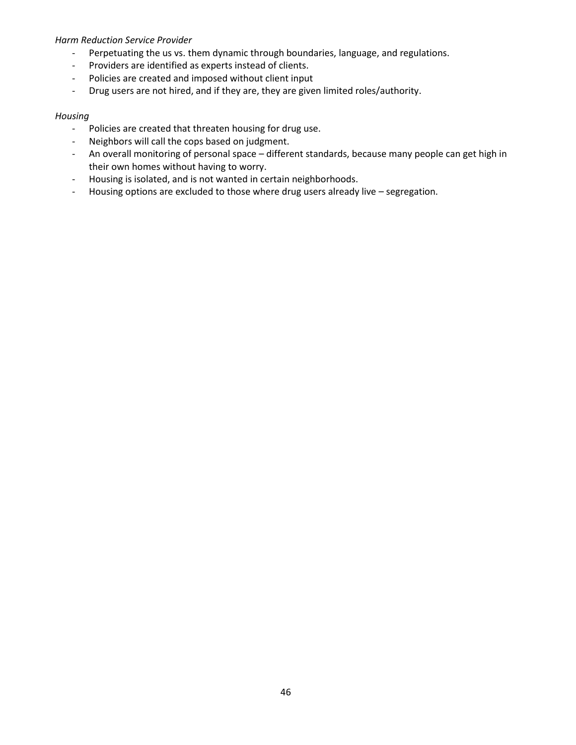#### *Harm Reduction Service Provider*

- Perpetuating the us vs. them dynamic through boundaries, language, and regulations.
- Providers are identified as experts instead of clients.
- Policies are created and imposed without client input
- Drug users are not hired, and if they are, they are given limited roles/authority.

#### *Housing*

- Policies are created that threaten housing for drug use.
- Neighbors will call the cops based on judgment.
- An overall monitoring of personal space different standards, because many people can get high in their own homes without having to worry.
- Housing is isolated, and is not wanted in certain neighborhoods.
- Housing options are excluded to those where drug users already live segregation.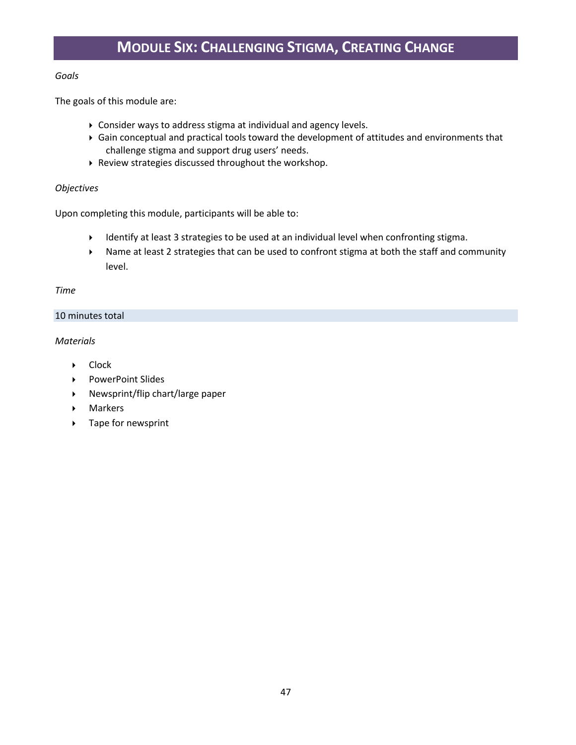### *Goals*

The goals of this module are:

- Consider ways to address stigma at individual and agency levels.
- Gain conceptual and practical tools toward the development of attitudes and environments that challenge stigma and support drug users' needs.
- Review strategies discussed throughout the workshop.

#### *Objectives*

Upon completing this module, participants will be able to:

- Identify at least 3 strategies to be used at an individual level when confronting stigma.
- Name at least 2 strategies that can be used to confront stigma at both the staff and community level.

#### *Time*

#### 10 minutes total

### *Materials*

- ▶ Clock
- ▶ PowerPoint Slides
- Newsprint/flip chart/large paper
- Markers
- ▶ Tape for newsprint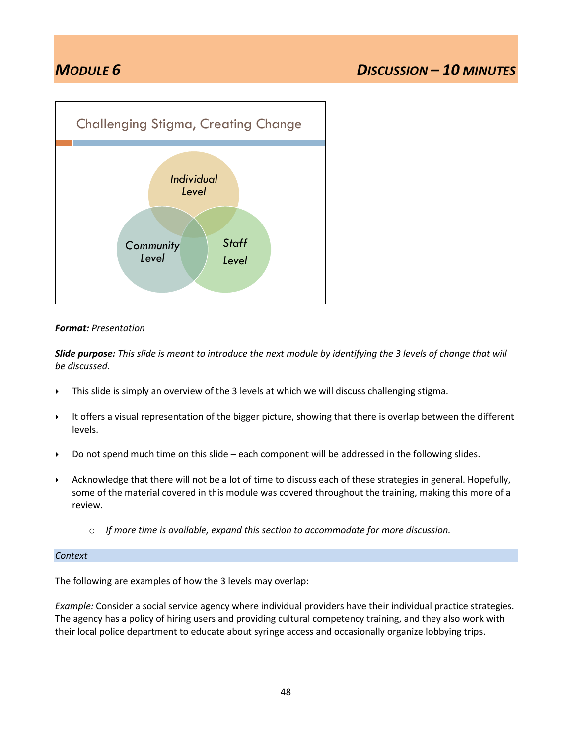![](_page_47_Figure_2.jpeg)

#### *Format: Presentation*

*Slide purpose: This slide is meant to introduce the next module by identifying the 3 levels of change that will be discussed.*

- This slide is simply an overview of the 3 levels at which we will discuss challenging stigma.
- It offers a visual representation of the bigger picture, showing that there is overlap between the different levels.
- ▶ Do not spend much time on this slide each component will be addressed in the following slides.
- Acknowledge that there will not be a lot of time to discuss each of these strategies in general. Hopefully, some of the material covered in this module was covered throughout the training, making this more of a review.
	- o *If more time is available, expand this section to accommodate for more discussion.*

#### *Context*

The following are examples of how the 3 levels may overlap:

*Example:* Consider a social service agency where individual providers have their individual practice strategies. The agency has a policy of hiring users and providing cultural competency training, and they also work with their local police department to educate about syringe access and occasionally organize lobbying trips.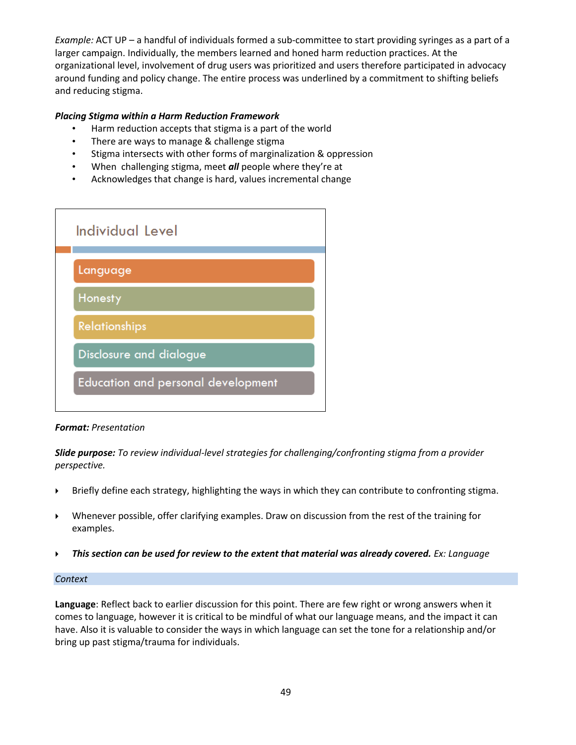*Example:* ACT UP – a handful of individuals formed a sub-committee to start providing syringes as a part of a larger campaign. Individually, the members learned and honed harm reduction practices. At the organizational level, involvement of drug users was prioritized and users therefore participated in advocacy around funding and policy change. The entire process was underlined by a commitment to shifting beliefs and reducing stigma.

#### *Placing Stigma within a Harm Reduction Framework*

- Harm reduction accepts that stigma is a part of the world
- There are ways to manage & challenge stigma
- Stigma intersects with other forms of marginalization & oppression
- When challenging stigma, meet *all* people where they're at
- Acknowledges that change is hard, values incremental change

![](_page_48_Figure_7.jpeg)

#### *Format: Presentation*

*Slide purpose: To review individual-level strategies for challenging/confronting stigma from a provider perspective.*

- Briefly define each strategy, highlighting the ways in which they can contribute to confronting stigma.
- Whenever possible, offer clarifying examples. Draw on discussion from the rest of the training for examples.
- **Figure 7 This section can be used for review to the extent that material was already covered.** *Ex: Language*

#### *Context*

**Language**: Reflect back to earlier discussion for this point. There are few right or wrong answers when it comes to language, however it is critical to be mindful of what our language means, and the impact it can have. Also it is valuable to consider the ways in which language can set the tone for a relationship and/or bring up past stigma/trauma for individuals.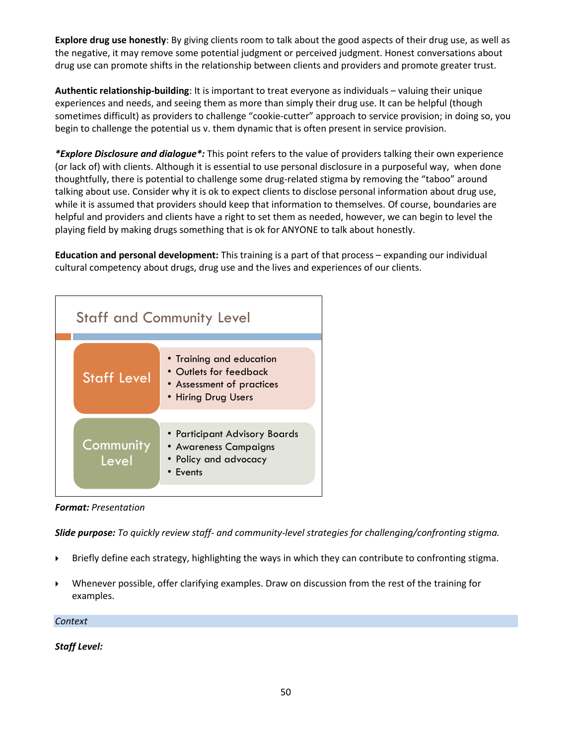**Explore drug use honestly**: By giving clients room to talk about the good aspects of their drug use, as well as the negative, it may remove some potential judgment or perceived judgment. Honest conversations about drug use can promote shifts in the relationship between clients and providers and promote greater trust.

**Authentic relationship-building**: It is important to treat everyone as individuals – valuing their unique experiences and needs, and seeing them as more than simply their drug use. It can be helpful (though sometimes difficult) as providers to challenge "cookie-cutter" approach to service provision; in doing so, you begin to challenge the potential us v. them dynamic that is often present in service provision.

*\*Explore Disclosure and dialogue\*:* This point refers to the value of providers talking their own experience (or lack of) with clients. Although it is essential to use personal disclosure in a purposeful way, when done thoughtfully, there is potential to challenge some drug-related stigma by removing the "taboo" around talking about use. Consider why it is ok to expect clients to disclose personal information about drug use, while it is assumed that providers should keep that information to themselves. Of course, boundaries are helpful and providers and clients have a right to set them as needed, however, we can begin to level the playing field by making drugs something that is ok for ANYONE to talk about honestly.

**Education and personal development:** This training is a part of that process – expanding our individual cultural competency about drugs, drug use and the lives and experiences of our clients.

| <b>Staff and Community Level</b> |                                                                                                        |  |  |
|----------------------------------|--------------------------------------------------------------------------------------------------------|--|--|
| <b>Staff Level</b>               | • Training and education<br>• Outlets for feedback<br>• Assessment of practices<br>• Hiring Drug Users |  |  |
| Community<br>Level               | • Participant Advisory Boards<br>• Awareness Campaigns<br>• Policy and advocacy<br>• Events            |  |  |

*Format: Presentation*

*Slide purpose: To quickly review staff- and community-level strategies for challenging/confronting stigma.*

- Briefly define each strategy, highlighting the ways in which they can contribute to confronting stigma.
- Whenever possible, offer clarifying examples. Draw on discussion from the rest of the training for examples.

*Context*

*Staff Level:*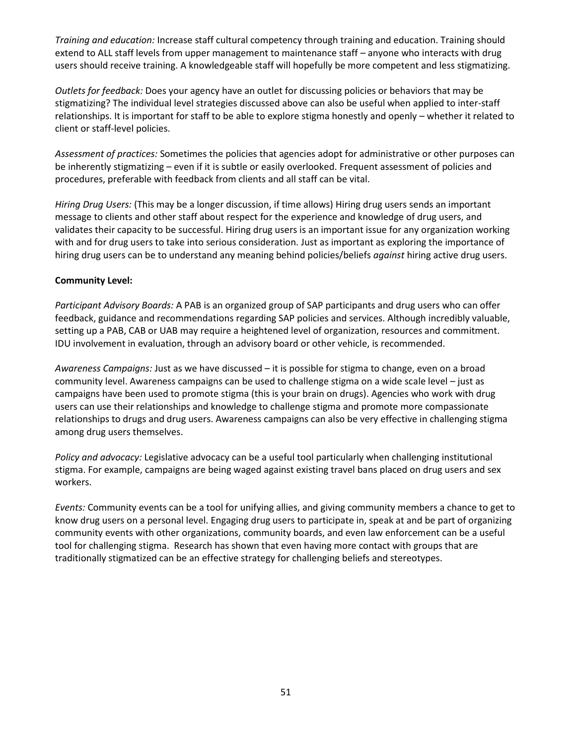*Training and education:* Increase staff cultural competency through training and education. Training should extend to ALL staff levels from upper management to maintenance staff – anyone who interacts with drug users should receive training. A knowledgeable staff will hopefully be more competent and less stigmatizing.

*Outlets for feedback:* Does your agency have an outlet for discussing policies or behaviors that may be stigmatizing? The individual level strategies discussed above can also be useful when applied to inter-staff relationships. It is important for staff to be able to explore stigma honestly and openly – whether it related to client or staff-level policies.

*Assessment of practices:* Sometimes the policies that agencies adopt for administrative or other purposes can be inherently stigmatizing – even if it is subtle or easily overlooked. Frequent assessment of policies and procedures, preferable with feedback from clients and all staff can be vital.

*Hiring Drug Users:* (This may be a longer discussion, if time allows) Hiring drug users sends an important message to clients and other staff about respect for the experience and knowledge of drug users, and validates their capacity to be successful. Hiring drug users is an important issue for any organization working with and for drug users to take into serious consideration. Just as important as exploring the importance of hiring drug users can be to understand any meaning behind policies/beliefs *against* hiring active drug users.

#### **Community Level:**

*Participant Advisory Boards:* A PAB is an organized group of SAP participants and drug users who can offer feedback, guidance and recommendations regarding SAP policies and services. Although incredibly valuable, setting up a PAB, CAB or UAB may require a heightened level of organization, resources and commitment. IDU involvement in evaluation, through an advisory board or other vehicle, is recommended.

*Awareness Campaigns:* Just as we have discussed – it is possible for stigma to change, even on a broad community level. Awareness campaigns can be used to challenge stigma on a wide scale level – just as campaigns have been used to promote stigma (this is your brain on drugs). Agencies who work with drug users can use their relationships and knowledge to challenge stigma and promote more compassionate relationships to drugs and drug users. Awareness campaigns can also be very effective in challenging stigma among drug users themselves.

*Policy and advocacy:* Legislative advocacy can be a useful tool particularly when challenging institutional stigma. For example, campaigns are being waged against existing travel bans placed on drug users and sex workers.

*Events:* Community events can be a tool for unifying allies, and giving community members a chance to get to know drug users on a personal level. Engaging drug users to participate in, speak at and be part of organizing community events with other organizations, community boards, and even law enforcement can be a useful tool for challenging stigma. Research has shown that even having more contact with groups that are traditionally stigmatized can be an effective strategy for challenging beliefs and stereotypes.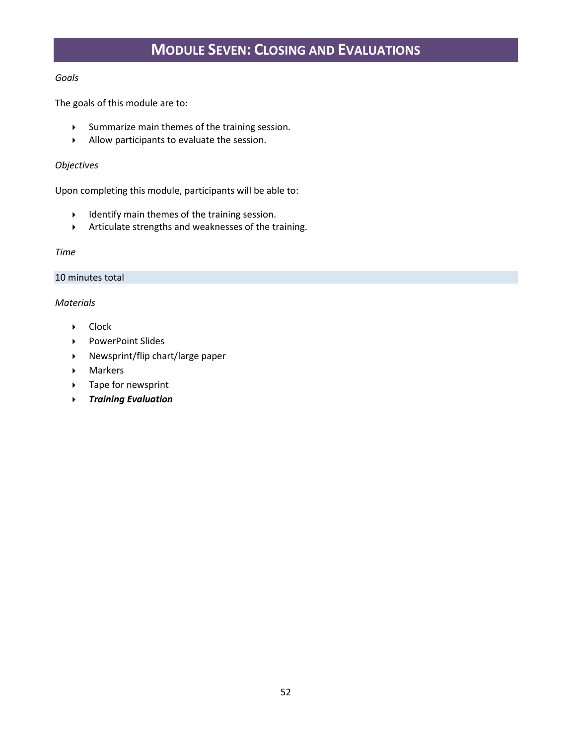## **MODULE SEVEN: CLOSING AND EVALUATIONS**

#### *Goals*

The goals of this module are to:

- Summarize main themes of the training session.
- $\blacktriangleright$  Allow participants to evaluate the session.

#### *Objectives*

Upon completing this module, participants will be able to:

- $\blacktriangleright$  Identify main themes of the training session.
- Articulate strengths and weaknesses of the training.

#### *Time*

#### 10 minutes total

#### *Materials*

- ▶ Clock
- ▶ PowerPoint Slides
- Newsprint/flip chart/large paper
- Markers
- ▶ Tape for newsprint
- *Training Evaluation*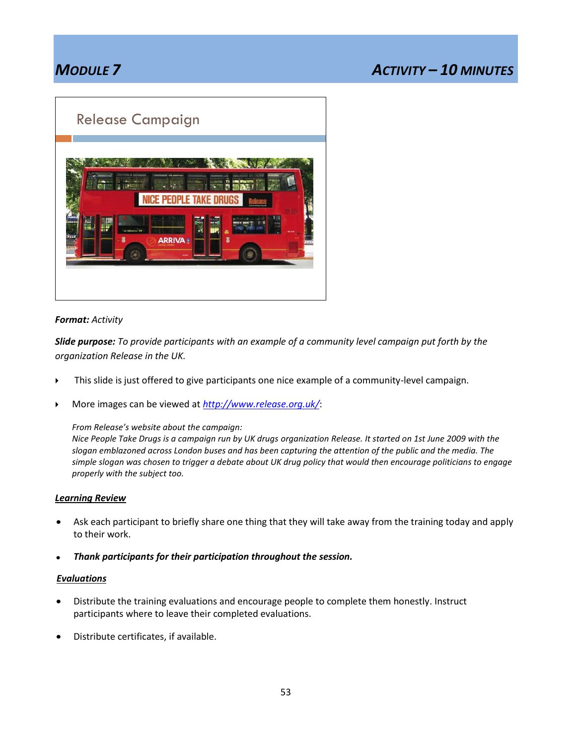## *MODULE 7 ACTIVITY – 10 MINUTES*

## Release Campaign

![](_page_52_Picture_3.jpeg)

#### *Format: Activity*

*Slide purpose: To provide participants with an example of a community level campaign put forth by the organization Release in the UK.*

- This slide is just offered to give participants one nice example of a community-level campaign.
- More images can be viewed at *<http://www.release.org.uk/>*:

*From Release's website about the campaign:*

*Nice People Take Drugs is a campaign run by UK drugs organization Release. It started on 1st June 2009 with the slogan emblazoned across London buses and has been capturing the attention of the public and the media. The simple slogan was chosen to trigger a debate about UK drug policy that would then encourage politicians to engage properly with the subject too.*

#### *Learning Review*

- Ask each participant to briefly share one thing that they will take away from the training today and apply  $\bullet$ to their work.
- *Thank participants for their participation throughout the session.*

#### *Evaluations*

- Distribute the training evaluations and encourage people to complete them honestly. Instruct  $\bullet$ participants where to leave their completed evaluations.
- Distribute certificates, if available.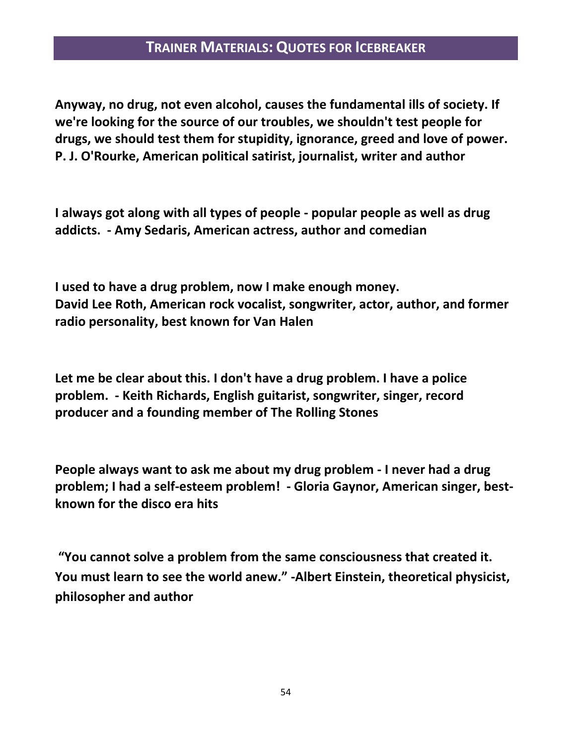## **TRAINER MATERIALS: QUOTES FOR ICEBREAKER**

**Anyway, no drug, not even alcohol, causes the fundamental ills of society. If we're looking for the source of our troubles, we shouldn't test people for drugs, we should test them for stupidity, ignorance, greed and love of power. P. J. O'Rourke, American political satirist, journalist, writer and author**

**I always got along with all types of people - popular people as well as drug addicts. - Amy Sedaris, American actress, author and comedian**

**I used to have a drug problem, now I make enough money. David Lee Roth, American rock vocalist, songwriter, actor, author, and former radio personality, best known for Van Halen**

**Let me be clear about this. I don't have a drug problem. I have a police problem. - Keith Richards, English guitarist, songwriter, singer, record producer and a founding member of The Rolling Stones**

**People always want to ask me about my drug problem - I never had a drug problem; I had a self-esteem problem! - Gloria Gaynor, American singer, bestknown for the disco era hits**

**"You cannot solve a problem from the same consciousness that created it. You must learn to see the world anew." -Albert Einstein, theoretical physicist, philosopher and author**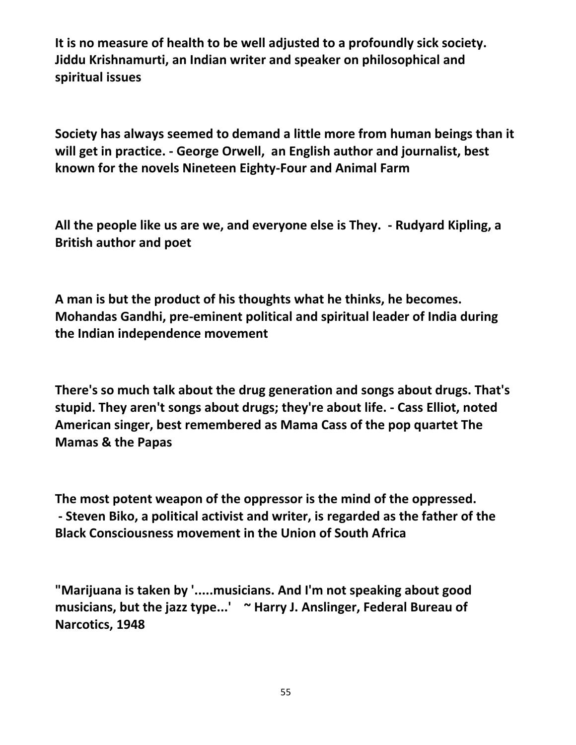**It is no measure of health to be well adjusted to a profoundly sick society. Jiddu Krishnamurti, an Indian writer and speaker on philosophical and spiritual issues**

**Society has always seemed to demand a little more from human beings than it will get in practice. - George Orwell, an English author and journalist, best known for the novels Nineteen Eighty-Four and Animal Farm**

**All the people like us are we, and everyone else is They. - Rudyard Kipling, a British author and poet**

**A man is but the product of his thoughts what he thinks, he becomes. Mohandas Gandhi, pre-eminent political and spiritual leader of India during the Indian independence movement**

**There's so much talk about the drug generation and songs about drugs. That's stupid. They aren't songs about drugs; they're about life. - Cass Elliot, noted American singer, best remembered as Mama Cass of the pop quartet The Mamas & the Papas**

**The most potent weapon of the oppressor is the mind of the oppressed. - Steven Biko, a political activist and writer, is regarded as the father of the Black Consciousness movement in the Union of South Africa**

**"Marijuana is taken by '.....musicians. And I'm not speaking about good musicians, but the jazz type...' ~ Harry J. Anslinger, Federal Bureau of Narcotics, 1948**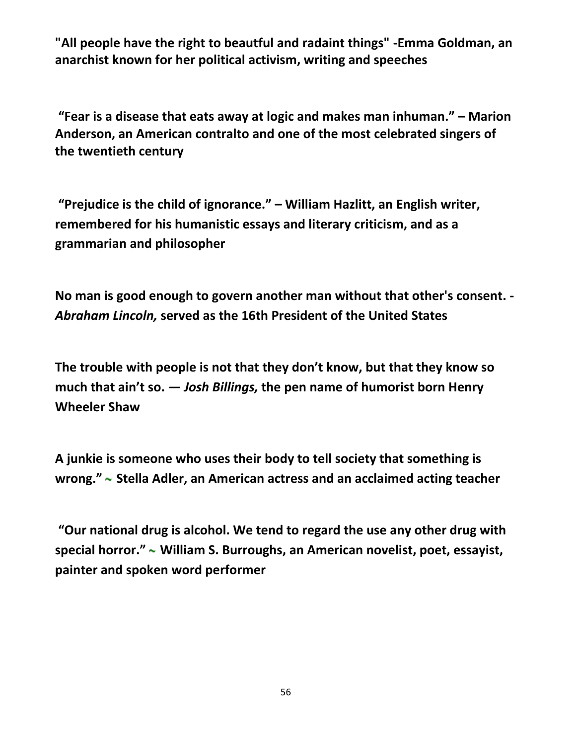**"All people have the right to beautful and radaint things" -Emma Goldman, an anarchist known for her political activism, writing and speeches**

**"Fear is a disease that eats away at logic and makes man inhuman." – Marion Anderson, an American contralto and one of the most celebrated singers of the twentieth century**

**"Prejudice is the child of ignorance." – William Hazlitt, an English writer, remembered for his humanistic essays and literary criticism, and as a grammarian and philosopher**

**No man is good enough to govern another man without that other's consent. -** *Abraham Lincoln,* **served as the 16th President of the United States** 

**The trouble with people is not that they don't know, but that they know so much that ain't so.** *— Josh Billings,* **the pen name of humorist born Henry Wheeler Shaw**

**A junkie is someone who uses their body to tell society that something is wrong." Stella Adler, an American actress and an acclaimed acting teacher**

**"Our national drug is alcohol. We tend to regard the use any other drug with special horror." William S. Burroughs, an American novelist, poet, essayist, painter and spoken word performer**

56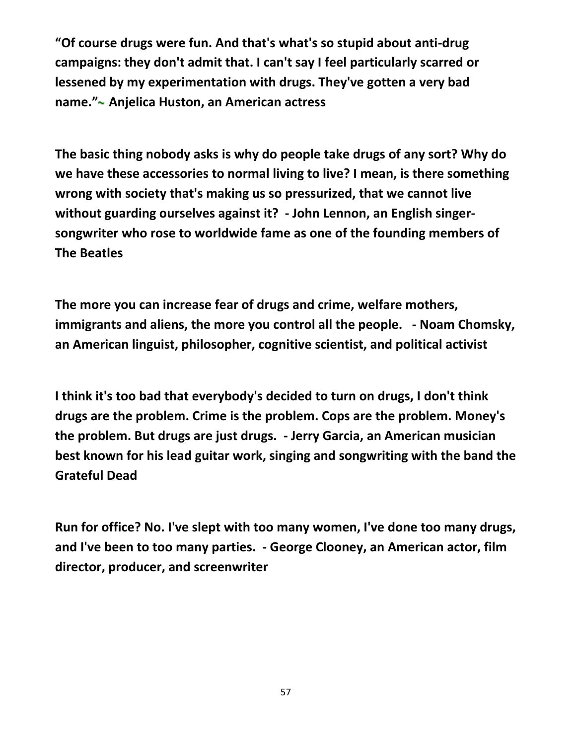**"Of course drugs were fun. And that's what's so stupid about anti-drug campaigns: they don't admit that. I can't say I feel particularly scarred or lessened by my experimentation with drugs. They've gotten a very bad name." Anjelica Huston, an American actress** 

**The basic thing nobody asks is why do people take drugs of any sort? Why do we have these accessories to normal living to live? I mean, is there something wrong with society that's making us so pressurized, that we cannot live without guarding ourselves against it? - John Lennon, an English singersongwriter who rose to worldwide fame as one of the founding members of The Beatles**

**The more you can increase fear of drugs and crime, welfare mothers, immigrants and aliens, the more you control all the people. - Noam Chomsky, an American linguist, philosopher, cognitive scientist, and political activist**

**I think it's too bad that everybody's decided to turn on drugs, I don't think drugs are the problem. Crime is the problem. Cops are the problem. Money's the problem. But drugs are just drugs. - Jerry Garcia, an American musician best known for his lead guitar work, singing and songwriting with the band the Grateful Dead**

**Run for office? No. I've slept with too many women, I've done too many drugs, and I've been to too many parties. - George Clooney, an American actor, film director, producer, and screenwriter**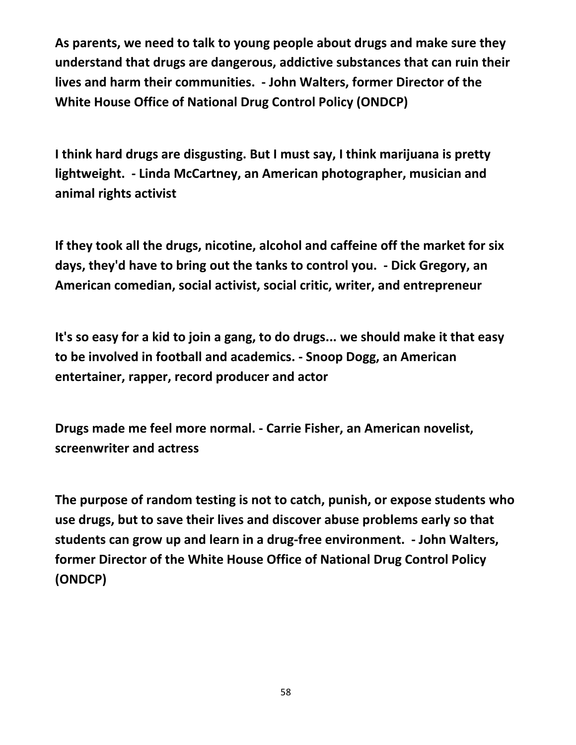**As parents, we need to talk to young people about drugs and make sure they understand that drugs are dangerous, addictive substances that can ruin their lives and harm their communities. - John Walters, former Director of the White House Office of National Drug Control Policy (ONDCP)**

**I think hard drugs are disgusting. But I must say, I think marijuana is pretty lightweight. - Linda McCartney, an American photographer, musician and animal rights activist**

**If they took all the drugs, nicotine, alcohol and caffeine off the market for six days, they'd have to bring out the tanks to control you. - Dick Gregory, an American comedian, social activist, social critic, writer, and entrepreneur**

**It's so easy for a kid to join a gang, to do drugs... we should make it that easy to be involved in football and academics. - Snoop Dogg, an American entertainer, rapper, record producer and actor**

**Drugs made me feel more normal. - Carrie Fisher, an American novelist, screenwriter and actress**

**The purpose of random testing is not to catch, punish, or expose students who use drugs, but to save their lives and discover abuse problems early so that students can grow up and learn in a drug-free environment. - John Walters, former Director of the White House Office of National Drug Control Policy (ONDCP)**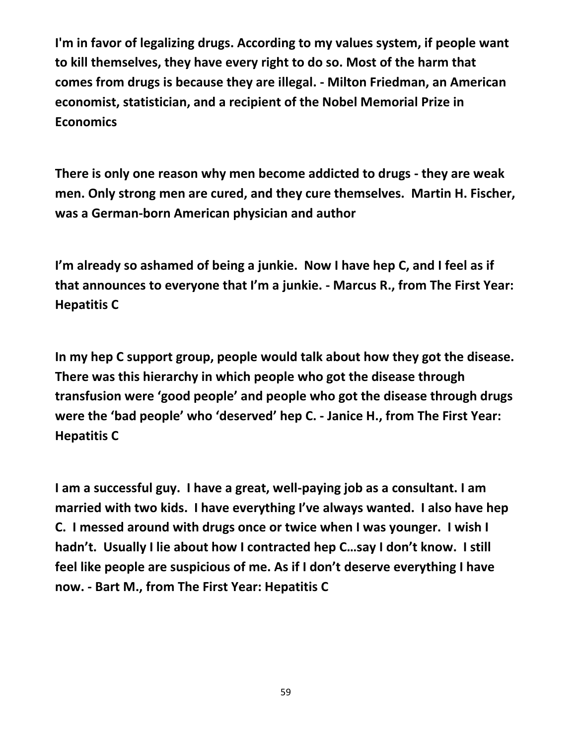**I'm in favor of legalizing drugs. According to my values system, if people want to kill themselves, they have every right to do so. Most of the harm that comes from drugs is because they are illegal. - Milton Friedman, an American economist, statistician, and a recipient of the Nobel Memorial Prize in Economics**

**There is only one reason why men become addicted to drugs - they are weak men. Only strong men are cured, and they cure themselves. Martin H. Fischer, was a German-born American physician and author**

**I'm already so ashamed of being a junkie. Now I have hep C, and I feel as if that announces to everyone that I'm a junkie. - Marcus R., from The First Year: Hepatitis C**

**In my hep C support group, people would talk about how they got the disease. There was this hierarchy in which people who got the disease through transfusion were 'good people' and people who got the disease through drugs were the 'bad people' who 'deserved' hep C. - Janice H., from The First Year: Hepatitis C**

**I am a successful guy. I have a great, well-paying job as a consultant. I am married with two kids. I have everything I've always wanted. I also have hep C. I messed around with drugs once or twice when I was younger. I wish I hadn't. Usually I lie about how I contracted hep C…say I don't know. I still feel like people are suspicious of me. As if I don't deserve everything I have now. - Bart M., from The First Year: Hepatitis C**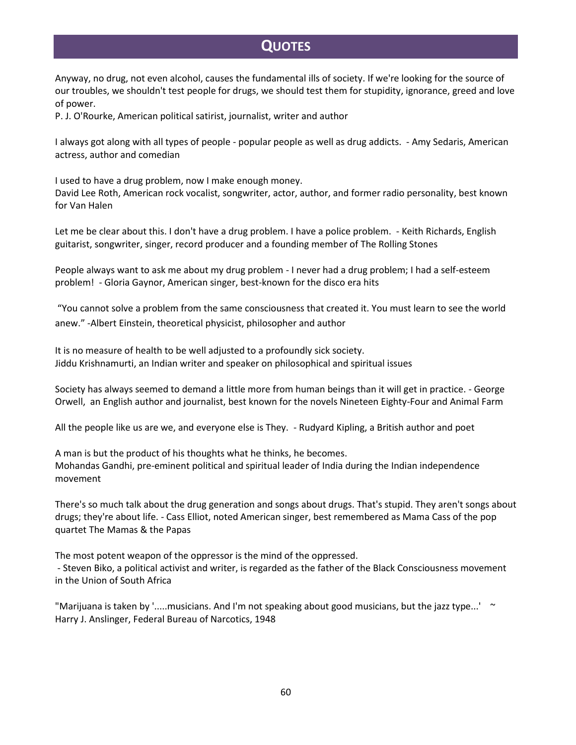## **QUOTES**

Anyway, no drug, not even alcohol, causes the fundamental ills of society. If we're looking for the source of our troubles, we shouldn't test people for drugs, we should test them for stupidity, ignorance, greed and love of power.

P. J. O'Rourke, American political satirist, journalist, writer and author

I always got along with all types of people - popular people as well as drug addicts. - Amy Sedaris, American actress, author and comedian

I used to have a drug problem, now I make enough money. David Lee Roth, American rock vocalist, songwriter, actor, author, and former radio personality, best known for Van Halen

Let me be clear about this. I don't have a drug problem. I have a police problem. - Keith Richards, English guitarist, songwriter, singer, record producer and a founding member of The Rolling Stones

People always want to ask me about my drug problem - I never had a drug problem; I had a self-esteem problem! - Gloria Gaynor, American singer, best-known for the disco era hits

"You cannot solve a problem from the same consciousness that created it. You must learn to see the world anew." -Albert Einstein, theoretical physicist, philosopher and author

It is no measure of health to be well adjusted to a profoundly sick society. Jiddu Krishnamurti, an Indian writer and speaker on philosophical and spiritual issues

Society has always seemed to demand a little more from human beings than it will get in practice. - George Orwell, an English author and journalist, best known for the novels Nineteen Eighty-Four and Animal Farm

All the people like us are we, and everyone else is They. - Rudyard Kipling, a British author and poet

A man is but the product of his thoughts what he thinks, he becomes. Mohandas Gandhi, pre-eminent political and spiritual leader of India during the Indian independence movement

There's so much talk about the drug generation and songs about drugs. That's stupid. They aren't songs about drugs; they're about life. - Cass Elliot, noted American singer, best remembered as Mama Cass of the pop quartet The Mamas & the Papas

The most potent weapon of the oppressor is the mind of the oppressed.

- Steven Biko, a political activist and writer, is regarded as the father of the Black Consciousness movement in the Union of South Africa

"Marijuana is taken by '.....musicians. And I'm not speaking about good musicians, but the jazz type...' ~ Harry J. Anslinger, Federal Bureau of Narcotics, 1948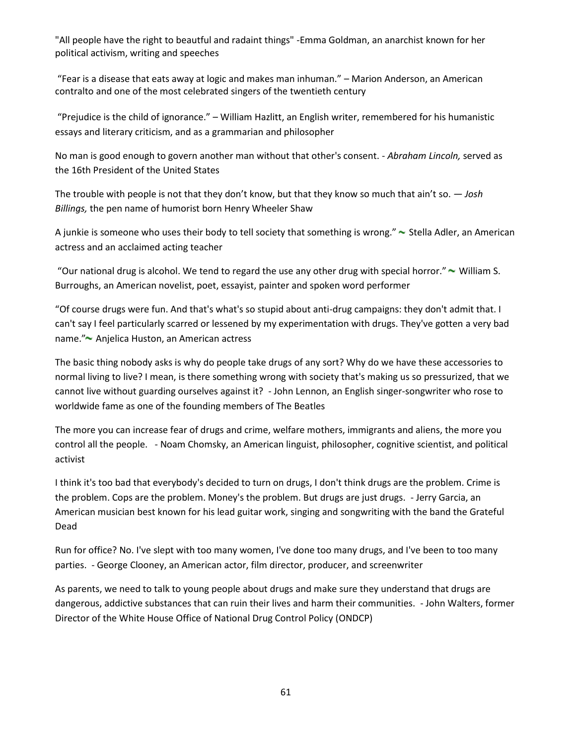"All people have the right to beautful and radaint things" -Emma Goldman, an anarchist known for her political activism, writing and speeches

"Fear is a disease that eats away at logic and makes man inhuman." – Marion Anderson, an American contralto and one of the most celebrated singers of the twentieth century

"Prejudice is the child of ignorance." – William Hazlitt, an English writer, remembered for his humanistic essays and literary criticism, and as a grammarian and philosopher

No man is good enough to govern another man without that other's consent. - *Abraham Lincoln,* served as the 16th President of the United States

The trouble with people is not that they don't know, but that they know so much that ain't so. *— Josh Billings,* the pen name of humorist born Henry Wheeler Shaw

A junkie is someone who uses their body to tell society that something is wrong."  $\sim$  Stella Adler, an American actress and an acclaimed acting teacher

"Our national drug is alcohol. We tend to regard the use any other drug with special horror."  $\sim$  William S. Burroughs, an American novelist, poet, essayist, painter and spoken word performer

"Of course drugs were fun. And that's what's so stupid about anti-drug campaigns: they don't admit that. I can't say I feel particularly scarred or lessened by my experimentation with drugs. They've gotten a very bad name." Anjelica Huston, an American actress

The basic thing nobody asks is why do people take drugs of any sort? Why do we have these accessories to normal living to live? I mean, is there something wrong with society that's making us so pressurized, that we cannot live without guarding ourselves against it? - John Lennon, an English singer-songwriter who rose to worldwide fame as one of the founding members of The Beatles

The more you can increase fear of drugs and crime, welfare mothers, immigrants and aliens, the more you control all the people. - Noam Chomsky, an American linguist, philosopher, cognitive scientist, and political activist

I think it's too bad that everybody's decided to turn on drugs, I don't think drugs are the problem. Crime is the problem. Cops are the problem. Money's the problem. But drugs are just drugs. - Jerry Garcia, an American musician best known for his lead guitar work, singing and songwriting with the band the Grateful Dead

Run for office? No. I've slept with too many women, I've done too many drugs, and I've been to too many parties. - George Clooney, an American actor, film director, producer, and screenwriter

As parents, we need to talk to young people about drugs and make sure they understand that drugs are dangerous, addictive substances that can ruin their lives and harm their communities. - John Walters, former Director of the White House Office of National Drug Control Policy (ONDCP)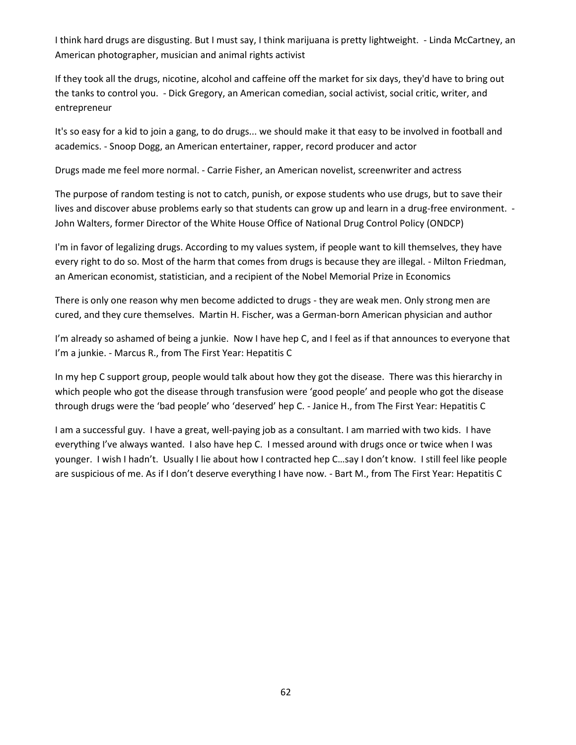I think hard drugs are disgusting. But I must say, I think marijuana is pretty lightweight. - Linda McCartney, an American photographer, musician and animal rights activist

If they took all the drugs, nicotine, alcohol and caffeine off the market for six days, they'd have to bring out the tanks to control you. - Dick Gregory, an American comedian, social activist, social critic, writer, and entrepreneur

It's so easy for a kid to join a gang, to do drugs... we should make it that easy to be involved in football and academics. - Snoop Dogg, an American entertainer, rapper, record producer and actor

Drugs made me feel more normal. - Carrie Fisher, an American novelist, screenwriter and actress

The purpose of random testing is not to catch, punish, or expose students who use drugs, but to save their lives and discover abuse problems early so that students can grow up and learn in a drug-free environment. - John Walters, former Director of the White House Office of National Drug Control Policy (ONDCP)

I'm in favor of legalizing drugs. According to my values system, if people want to kill themselves, they have every right to do so. Most of the harm that comes from drugs is because they are illegal. - Milton Friedman, an American economist, statistician, and a recipient of the Nobel Memorial Prize in Economics

There is only one reason why men become addicted to drugs - they are weak men. Only strong men are cured, and they cure themselves. Martin H. Fischer, was a German-born American physician and author

I'm already so ashamed of being a junkie. Now I have hep C, and I feel as if that announces to everyone that I'm a junkie. - Marcus R., from The First Year: Hepatitis C

In my hep C support group, people would talk about how they got the disease. There was this hierarchy in which people who got the disease through transfusion were 'good people' and people who got the disease through drugs were the 'bad people' who 'deserved' hep C. - Janice H., from The First Year: Hepatitis C

I am a successful guy. I have a great, well-paying job as a consultant. I am married with two kids. I have everything I've always wanted. I also have hep C. I messed around with drugs once or twice when I was younger. I wish I hadn't. Usually I lie about how I contracted hep C…say I don't know. I still feel like people are suspicious of me. As if I don't deserve everything I have now. - Bart M., from The First Year: Hepatitis C